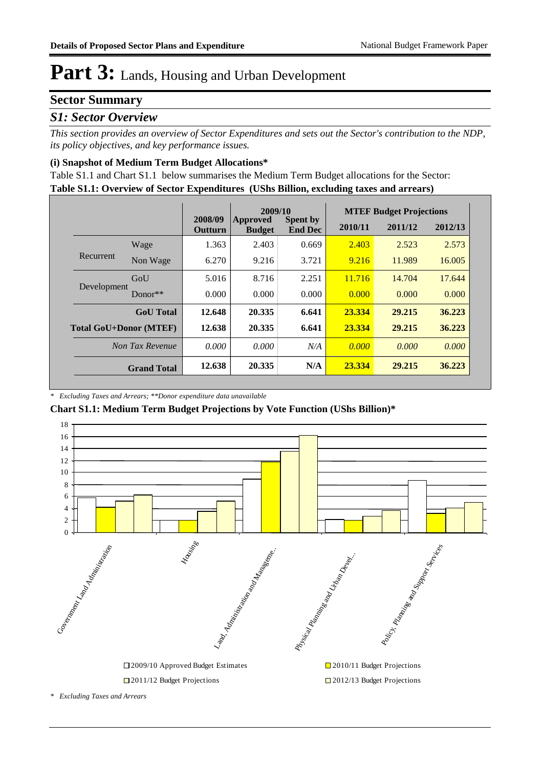#### **Sector Summary**

#### *S1: Sector Overview*

*This section provides an overview of Sector Expenditures and sets out the Sector's contribution to the NDP, its policy objectives, and key performance issues.* 

#### **(i) Snapshot of Medium Term Budget Allocations\***

**Table S1.1: Overview of Sector Expenditures (UShs Billion, excluding taxes and arrears)** Table S1.1 and Chart S1.1 below summarises the Medium Term Budget allocations for the Sector:

|                               |                    |                           | 2009/10                   |                                   |         | <b>MTEF Budget Projections</b> |         |
|-------------------------------|--------------------|---------------------------|---------------------------|-----------------------------------|---------|--------------------------------|---------|
|                               |                    | 2008/09<br><b>Outturn</b> | Approved<br><b>Budget</b> | <b>Spent by</b><br><b>End Dec</b> | 2010/11 | 2011/12                        | 2012/13 |
|                               | Wage               | 1.363                     | 2.403                     | 0.669                             | 2.403   | 2.523                          | 2.573   |
| Recurrent                     | Non Wage           | 6.270                     | 9.216                     | 3.721                             | 9.216   | 11.989                         | 16.005  |
|                               | GoU                | 5.016                     | 8.716                     | 2.251                             | 11.716  | 14.704                         | 17.644  |
| Development                   | $Donor**$          | 0.000                     | 0.000                     | 0.000                             | 0.000   | 0.000                          | 0.000   |
|                               | <b>GoU</b> Total   | 12.648                    | 20.335                    | 6.641                             | 23.334  | 29.215                         | 36.223  |
| <b>Total GoU+Donor (MTEF)</b> |                    | 12.638                    | 20.335                    | 6.641                             | 23.334  | 29.215                         | 36.223  |
|                               | Non Tax Revenue    | 0.000                     | 0.000                     | N/A                               | 0.000   | 0.000                          | 0.000   |
|                               | <b>Grand Total</b> | 12.638                    | 20.335                    | N/A                               | 23.334  | 29.215                         | 36.223  |

*\* Excluding Taxes and Arrears; \*\*Donor expenditure data unavailable*

**Chart S1.1: Medium Term Budget Projections by Vote Function (UShs Billion)\***

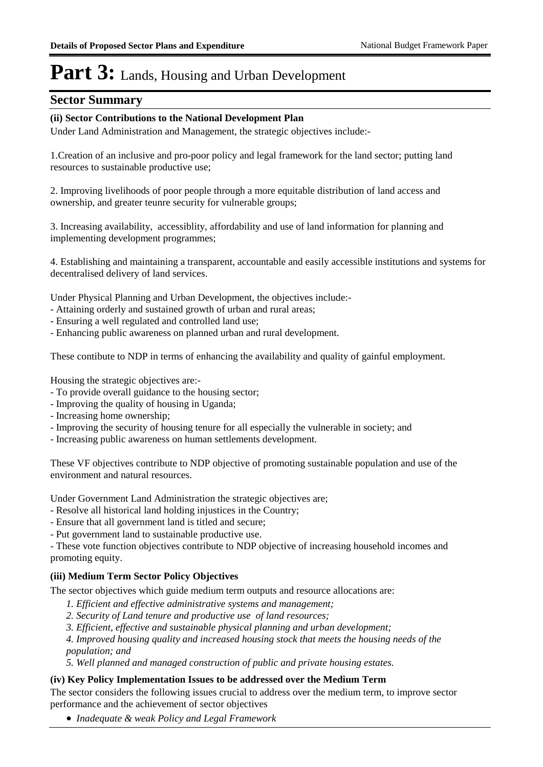#### **Sector Summary**

#### **(ii) Sector Contributions to the National Development Plan**

Under Land Administration and Management, the strategic objectives include:-

1.Creation of an inclusive and pro-poor policy and legal framework for the land sector; putting land resources to sustainable productive use;

2. Improving livelihoods of poor people through a more equitable distribution of land access and ownership, and greater teunre security for vulnerable groups;

3. Increasing availability, accessiblity, affordability and use of land information for planning and implementing development programmes;

4. Establishing and maintaining a transparent, accountable and easily accessible institutions and systems for decentralised delivery of land services.

Under Physical Planning and Urban Development, the objectives include:-

- Attaining orderly and sustained growth of urban and rural areas;
- Ensuring a well regulated and controlled land use;
- Enhancing public awareness on planned urban and rural development.

These contibute to NDP in terms of enhancing the availability and quality of gainful employment.

Housing the strategic objectives are:-

- To provide overall guidance to the housing sector;
- Improving the quality of housing in Uganda;
- Increasing home ownership;
- Improving the security of housing tenure for all especially the vulnerable in society; and
- Increasing public awareness on human settlements development.

These VF objectives contribute to NDP objective of promoting sustainable population and use of the environment and natural resources.

Under Government Land Administration the strategic objectives are;

- Resolve all historical land holding injustices in the Country;
- Ensure that all government land is titled and secure;
- Put government land to sustainable productive use.

- These vote function objectives contribute to NDP objective of increasing household incomes and promoting equity.

#### **(iii) Medium Term Sector Policy Objectives**

The sector objectives which guide medium term outputs and resource allocations are:

- *1. Efficient and effective administrative systems and management;*
- *2. Security of Land tenure and productive use of land resources;*
- *3. Efficient, effective and sustainable physical planning and urban development;*

*4. Improved housing quality and increased housing stock that meets the housing needs of the population; and*

*5. Well planned and managed construction of public and private housing estates.*

#### **(iv) Key Policy Implementation Issues to be addressed over the Medium Term**

The sector considers the following issues crucial to address over the medium term, to improve sector performance and the achievement of sector objectives

**●** *Inadequate & weak Policy and Legal Framework*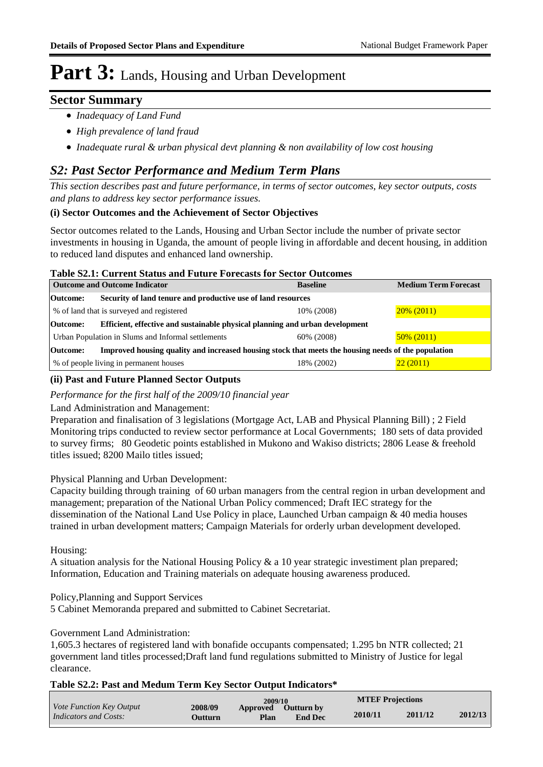#### **Sector Summary**

- *Inadequacy of Land Fund*
- *High prevalence of land fraud*
- *Inadequate rural & urban physical devt planning & non availability of low cost housing*

#### *S2: Past Sector Performance and Medium Term Plans*

*This section describes past and future performance, in terms of sector outcomes, key sector outputs, costs and plans to address key sector performance issues.* 

#### **(i) Sector Outcomes and the Achievement of Sector Objectives**

Sector outcomes related to the Lands, Housing and Urban Sector include the number of private sector investments in housing in Uganda, the amount of people living in affordable and decent housing, in addition to reduced land disputes and enhanced land ownership.

#### **Table S2.1: Current Status and Future Forecasts for Sector Outcomes**

| <b>Outcome and Outcome Indicator</b>                                                                            |                                                                              | <b>Baseline</b> | <b>Medium Term Forecast</b> |  |  |
|-----------------------------------------------------------------------------------------------------------------|------------------------------------------------------------------------------|-----------------|-----------------------------|--|--|
| Security of land tenure and productive use of land resources<br>Outcome:                                        |                                                                              |                 |                             |  |  |
|                                                                                                                 | % of land that is surveyed and registered                                    | 10% (2008)      | $20\% (2011)$               |  |  |
| Outcome:                                                                                                        | Efficient, effective and sustainable physical planning and urban development |                 |                             |  |  |
|                                                                                                                 | Urban Population in Slums and Informal settlements                           | 60% (2008)      | $50\% (2011)$               |  |  |
| Improved housing quality and increased housing stock that meets the housing needs of the population<br>Outcome: |                                                                              |                 |                             |  |  |
|                                                                                                                 | % of people living in permanent houses                                       | 18% (2002)      | 22(2011)                    |  |  |

#### **(ii) Past and Future Planned Sector Outputs**

*Performance for the first half of the 2009/10 financial year*

#### Land Administration and Management:

Preparation and finalisation of 3 legislations (Mortgage Act, LAB and Physical Planning Bill) ; 2 Field Monitoring trips conducted to review sector performance at Local Governments; 180 sets of data provided to survey firms; 80 Geodetic points established in Mukono and Wakiso districts; 2806 Lease & freehold titles issued; 8200 Mailo titles issued;

Physical Planning and Urban Development:

Capacity building through training of 60 urban managers from the central region in urban development and management; preparation of the National Urban Policy commenced; Draft IEC strategy for the dissemination of the National Land Use Policy in place, Launched Urban campaign & 40 media houses trained in urban development matters; Campaign Materials for orderly urban development developed.

Housing:

A situation analysis for the National Housing Policy & a 10 year strategic investiment plan prepared; Information, Education and Training materials on adequate housing awareness produced.

Policy,Planning and Support Services

5 Cabinet Memoranda prepared and submitted to Cabinet Secretariat.

Government Land Administration:

1,605.3 hectares of registered land with bonafide occupants compensated; 1.295 bn NTR collected; 21 government land titles processed;Draft land fund regulations submitted to Ministry of Justice for legal clearance.

#### **Table S2.2: Past and Medum Term Key Sector Output Indicators\***

|                                                   |                     | 2009/10                 |                                     | <b>MTEF Projections</b> |         |         |
|---------------------------------------------------|---------------------|-------------------------|-------------------------------------|-------------------------|---------|---------|
| Vote Function Key Output<br>Indicators and Costs: | 2008/09<br>()utturn | <b>Approved</b><br>Plan | $\sim$ Outturn by<br><b>End Dec</b> | 2010/11                 | 2011/12 | 2012/13 |
|                                                   |                     |                         |                                     |                         |         |         |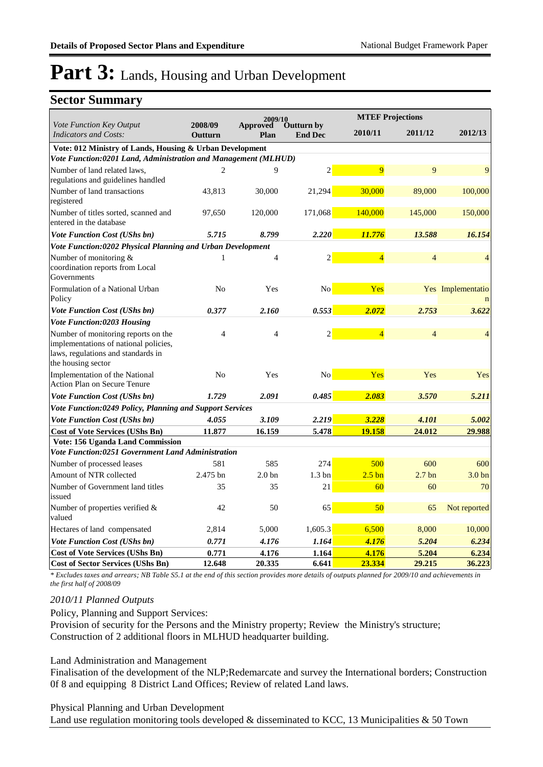#### **Sector Summary**

|                                                                                                                                          | 2009/10            |                         |                              | <b>MTEF Projections</b> |                   |                   |
|------------------------------------------------------------------------------------------------------------------------------------------|--------------------|-------------------------|------------------------------|-------------------------|-------------------|-------------------|
| Vote Function Key Output<br><b>Indicators and Costs:</b>                                                                                 | 2008/09<br>Outturn | <b>Approved</b><br>Plan | Outturn by<br><b>End Dec</b> | 2010/11                 | 2011/12           | 2012/13           |
| Vote: 012 Ministry of Lands, Housing & Urban Development                                                                                 |                    |                         |                              |                         |                   |                   |
| Vote Function:0201 Land, Administration and Management (MLHUD)                                                                           |                    |                         |                              |                         |                   |                   |
| Number of land related laws,<br>regulations and guidelines handled                                                                       | $\overline{2}$     | 9                       | $\overline{2}$               | 9                       | 9                 | 9                 |
| Number of land transactions<br>registered                                                                                                | 43.813             | 30,000                  | 21,294                       | 30,000                  | 89,000            | 100,000           |
| Number of titles sorted, scanned and<br>entered in the database                                                                          | 97,650             | 120,000                 | 171,068                      | 140,000                 | 145,000           | 150,000           |
| <b>Vote Function Cost (UShs bn)</b>                                                                                                      | 5.715              | 8.799                   | 2.220                        | 11.776                  | 13.588            | 16.154            |
| Vote Function:0202 Physical Planning and Urban Development                                                                               |                    |                         |                              |                         |                   |                   |
| Number of monitoring &<br>coordination reports from Local<br>Governments                                                                 | 1                  | 4                       | $\overline{2}$               | $\overline{4}$          | $\overline{4}$    | 4                 |
| Formulation of a National Urban<br>Policy                                                                                                | N <sub>0</sub>     | Yes                     | No                           | Yes                     |                   | Yes Implementatio |
| Vote Function Cost (UShs bn)                                                                                                             | 0.377              | 2.160                   | 0.553                        | 2.072                   | 2.753             | 3.622             |
| <b>Vote Function:0203 Housing</b>                                                                                                        |                    |                         |                              |                         |                   |                   |
| Number of monitoring reports on the<br>implementations of national policies,<br>laws, regulations and standards in<br>the housing sector | $\overline{4}$     | $\overline{4}$          | $\overline{2}$               | $\overline{4}$          | $\overline{4}$    | $\overline{4}$    |
| Implementation of the National<br>Action Plan on Secure Tenure                                                                           | No                 | Yes                     | N <sub>0</sub>               | Yes                     | Yes               | Yes               |
| <b>Vote Function Cost (UShs bn)</b>                                                                                                      | 1.729              | 2.091                   | 0.485                        | 2.083                   | 3.570             | 5.211             |
| Vote Function:0249 Policy, Planning and Support Services                                                                                 |                    |                         |                              |                         |                   |                   |
| <b>Vote Function Cost (UShs bn)</b>                                                                                                      | 4.055              | 3.109                   | 2.219                        | 3.228                   | 4.101             | 5.002             |
| <b>Cost of Vote Services (UShs Bn)</b>                                                                                                   | 11.877             | 16.159                  | 5.478                        | 19.158                  | 24.012            | 29.988            |
| <b>Vote: 156 Uganda Land Commission</b>                                                                                                  |                    |                         |                              |                         |                   |                   |
| <b>Vote Function:0251 Government Land Administration</b>                                                                                 |                    |                         |                              |                         |                   |                   |
| Number of processed leases                                                                                                               | 581                | 585                     | 274                          | 500                     | 600               | 600               |
| Amount of NTR collected                                                                                                                  | 2.475 bn           | 2.0 <sub>bn</sub>       | 1.3 <sub>bn</sub>            | $2.5 \text{ bn}$        | 2.7 <sub>bn</sub> | 3.0 <sub>bn</sub> |
| Number of Government land titles<br>issued                                                                                               | 35                 | 35                      | 21                           | 60                      | 60                | 70                |
| Number of properties verified &<br>valued                                                                                                | 42                 | 50                      | 65                           | 50                      | 65                | Not reported      |
| Hectares of land compensated                                                                                                             | 2,814              | 5,000                   | 1,605.3                      | 6,500                   | 8,000             | 10,000            |
| <b>Vote Function Cost (UShs bn)</b>                                                                                                      | 0.771              | 4.176                   | 1.164                        | 4.176                   | 5.204             | 6.234             |
| <b>Cost of Vote Services (UShs Bn)</b>                                                                                                   | 0.771              | 4.176                   | 1.164                        | 4.176                   | 5.204             | 6.234             |
| <b>Cost of Sector Services (UShs Bn)</b>                                                                                                 | 12.648             | 20.335                  | 6.641                        | 23.334                  | 29.215            | 36.223            |

*\* Excludes taxes and arrears; NB Table S5.1 at the end of this section provides more details of outputs planned for 2009/10 and achievements in the first half of 2008/09*

#### *2010/11 Planned Outputs*

Policy, Planning and Support Services:

Provision of security for the Persons and the Ministry property; Review the Ministry's structure; Construction of 2 additional floors in MLHUD headquarter building.

#### Land Administration and Management

Finalisation of the development of the NLP;Redemarcate and survey the International borders; Construction 0f 8 and equipping 8 District Land Offices; Review of related Land laws.

#### Physical Planning and Urban Development

Land use regulation monitoring tools developed & disseminated to KCC, 13 Municipalities & 50 Town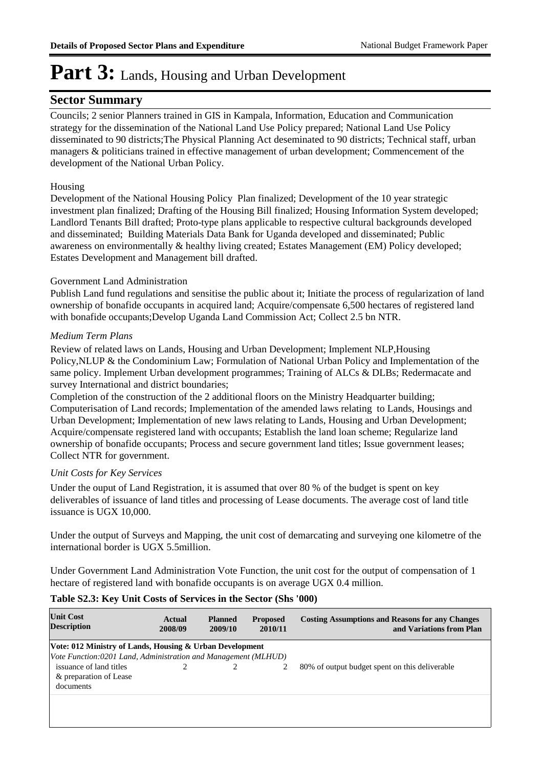#### **Sector Summary**

Councils; 2 senior Planners trained in GIS in Kampala, Information, Education and Communication strategy for the dissemination of the National Land Use Policy prepared; National Land Use Policy disseminated to 90 districts;The Physical Planning Act deseminated to 90 districts; Technical staff, urban managers & politicians trained in effective management of urban development; Commencement of the development of the National Urban Policy.

#### Housing

Development of the National Housing Policy Plan finalized; Development of the 10 year strategic investment plan finalized; Drafting of the Housing Bill finalized; Housing Information System developed; Landlord Tenants Bill drafted; Proto-type plans applicable to respective cultural backgrounds developed and disseminated; Building Materials Data Bank for Uganda developed and disseminated; Public awareness on environmentally & healthy living created; Estates Management (EM) Policy developed; Estates Development and Management bill drafted.

#### Government Land Administration

Publish Land fund regulations and sensitise the public about it; Initiate the process of regularization of land ownership of bonafide occupants in acquired land; Acquire/compensate 6,500 hectares of registered land with bonafide occupants;Develop Uganda Land Commission Act; Collect 2.5 bn NTR.

#### *Medium Term Plans*

Review of related laws on Lands, Housing and Urban Development; Implement NLP,Housing Policy,NLUP & the Condominium Law; Formulation of National Urban Policy and Implementation of the same policy. Implement Urban development programmes; Training of ALCs & DLBs; Redermacate and survey International and district boundaries;

Completion of the construction of the 2 additional floors on the Ministry Headquarter building; Computerisation of Land records; Implementation of the amended laws relating to Lands, Housings and Urban Development; Implementation of new laws relating to Lands, Housing and Urban Development; Acquire/compensate registered land with occupants; Establish the land loan scheme; Regularize land ownership of bonafide occupants; Process and secure government land titles; Issue government leases; Collect NTR for government.

#### *Unit Costs for Key Services*

Under the ouput of Land Registration, it is assumed that over 80 % of the budget is spent on key deliverables of issuance of land titles and processing of Lease documents. The average cost of land title issuance is UGX 10,000.

Under the output of Surveys and Mapping, the unit cost of demarcating and surveying one kilometre of the international border is UGX 5.5million.

Under Government Land Administration Vote Function, the unit cost for the output of compensation of 1 hectare of registered land with bonafide occupants is on average UGX 0.4 million.

#### **Table S2.3: Key Unit Costs of Services in the Sector (Shs '000)**

| <b>Unit Cost</b><br><b>Description</b>                                                                                     | Actual<br>2008/09 | <b>Planned</b><br>2009/10 | <b>Proposed</b><br>2010/11 | <b>Costing Assumptions and Reasons for any Changes</b><br>and Variations from Plan |  |  |
|----------------------------------------------------------------------------------------------------------------------------|-------------------|---------------------------|----------------------------|------------------------------------------------------------------------------------|--|--|
| Vote: 012 Ministry of Lands, Housing & Urban Development<br>Vote Function:0201 Land, Administration and Management (MLHUD) |                   |                           |                            |                                                                                    |  |  |
| issuance of land titles<br>& preparation of Lease<br>documents                                                             |                   |                           |                            | 80% of output budget spent on this deliverable                                     |  |  |
|                                                                                                                            |                   |                           |                            |                                                                                    |  |  |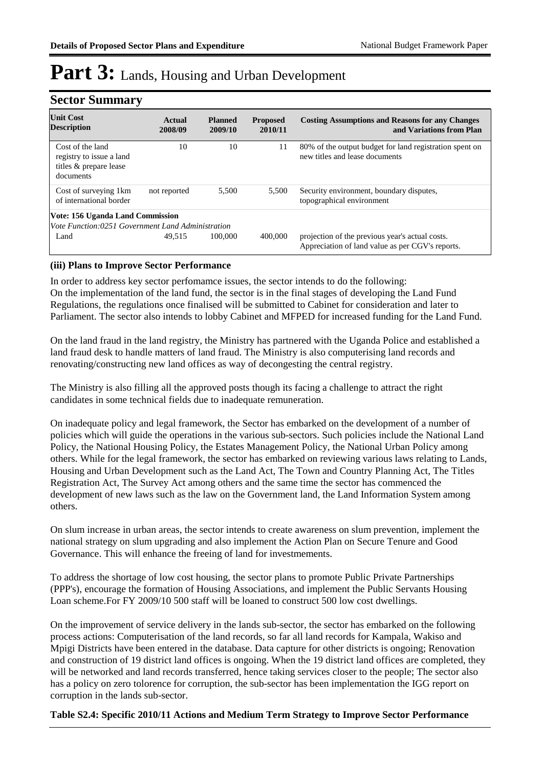| <b>Sector Summary</b>                                                                 |                   |                           |                            |                                                                                                     |  |  |
|---------------------------------------------------------------------------------------|-------------------|---------------------------|----------------------------|-----------------------------------------------------------------------------------------------------|--|--|
| <b>Unit Cost</b><br><b>Description</b>                                                | Actual<br>2008/09 | <b>Planned</b><br>2009/10 | <b>Proposed</b><br>2010/11 | <b>Costing Assumptions and Reasons for any Changes</b><br>and Variations from Plan                  |  |  |
| Cost of the land<br>registry to issue a land<br>titles & prepare lease<br>documents   | 10                | 10                        | 11                         | 80% of the output budget for land registration spent on<br>new titles and lease documents           |  |  |
| Cost of surveying 1 km<br>of international border                                     | not reported      | 5,500                     | 5,500                      | Security environment, boundary disputes,<br>topographical environment                               |  |  |
| Vote: 156 Uganda Land Commission<br>Vote Function:0251 Government Land Administration |                   |                           |                            |                                                                                                     |  |  |
| Land                                                                                  | 49.515            | 100,000                   | 400,000                    | projection of the previous year's actual costs.<br>Appreciation of land value as per CGV's reports. |  |  |

#### **(iii) Plans to Improve Sector Performance**

In order to address key sector perfomamce issues, the sector intends to do the following: On the implementation of the land fund, the sector is in the final stages of developing the Land Fund Regulations, the regulations once finalised will be submitted to Cabinet for consideration and later to Parliament. The sector also intends to lobby Cabinet and MFPED for increased funding for the Land Fund.

On the land fraud in the land registry, the Ministry has partnered with the Uganda Police and established a land fraud desk to handle matters of land fraud. The Ministry is also computerising land records and renovating/constructing new land offices as way of decongesting the central registry.

The Ministry is also filling all the approved posts though its facing a challenge to attract the right candidates in some technical fields due to inadequate remuneration.

On inadequate policy and legal framework, the Sector has embarked on the development of a number of policies which will guide the operations in the various sub-sectors. Such policies include the National Land Policy, the National Housing Policy, the Estates Management Policy, the National Urban Policy among others. While for the legal framework, the sector has embarked on reviewing various laws relating to Lands, Housing and Urban Development such as the Land Act, The Town and Country Planning Act, The Titles Registration Act, The Survey Act among others and the same time the sector has commenced the development of new laws such as the law on the Government land, the Land Information System among others.

On slum increase in urban areas, the sector intends to create awareness on slum prevention, implement the national strategy on slum upgrading and also implement the Action Plan on Secure Tenure and Good Governance. This will enhance the freeing of land for investmements.

To address the shortage of low cost housing, the sector plans to promote Public Private Partnerships (PPP's), encourage the formation of Housing Associations, and implement the Public Servants Housing Loan scheme.For FY 2009/10 500 staff will be loaned to construct 500 low cost dwellings.

On the improvement of service delivery in the lands sub-sector, the sector has embarked on the following process actions: Computerisation of the land records, so far all land records for Kampala, Wakiso and Mpigi Districts have been entered in the database. Data capture for other districts is ongoing; Renovation and construction of 19 district land offices is ongoing. When the 19 district land offices are completed, they will be networked and land records transferred, hence taking services closer to the people; The sector also has a policy on zero tolorence for corruption, the sub-sector has been implementation the IGG report on corruption in the lands sub-sector.

#### **Table S2.4: Specific 2010/11 Actions and Medium Term Strategy to Improve Sector Performance**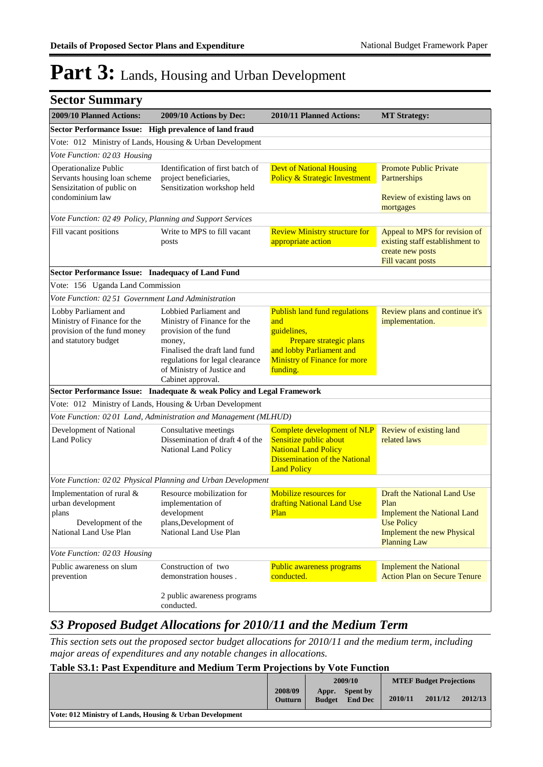| <b>Sector Summary</b>                                                                                   |                                                                                                                               |                                                                                                                                                    |                                                                                                                                                            |  |  |  |  |
|---------------------------------------------------------------------------------------------------------|-------------------------------------------------------------------------------------------------------------------------------|----------------------------------------------------------------------------------------------------------------------------------------------------|------------------------------------------------------------------------------------------------------------------------------------------------------------|--|--|--|--|
| 2009/10 Planned Actions:                                                                                | 2009/10 Actions by Dec:                                                                                                       | 2010/11 Planned Actions:                                                                                                                           | <b>MT Strategy:</b>                                                                                                                                        |  |  |  |  |
| Sector Performance Issue: High prevalence of land fraud                                                 |                                                                                                                               |                                                                                                                                                    |                                                                                                                                                            |  |  |  |  |
| Vote: 012 Ministry of Lands, Housing & Urban Development                                                |                                                                                                                               |                                                                                                                                                    |                                                                                                                                                            |  |  |  |  |
| Vote Function: 0203 Housing                                                                             |                                                                                                                               |                                                                                                                                                    |                                                                                                                                                            |  |  |  |  |
| Operationalize Public<br>Servants housing loan scheme<br>Sensizitation of public on<br>condominium law  | Identification of first batch of<br>project beneficiaries,<br>Sensitization workshop held                                     | <b>Devt of National Housing</b><br><b>Policy &amp; Strategic Investment</b>                                                                        | <b>Promote Public Private</b><br>Partnerships<br>Review of existing laws on                                                                                |  |  |  |  |
|                                                                                                         |                                                                                                                               |                                                                                                                                                    | mortgages                                                                                                                                                  |  |  |  |  |
|                                                                                                         | Vote Function: 02 49 Policy, Planning and Support Services                                                                    |                                                                                                                                                    |                                                                                                                                                            |  |  |  |  |
| Fill vacant positions                                                                                   | Write to MPS to fill vacant<br>posts                                                                                          | <b>Review Ministry structure for</b><br>appropriate action                                                                                         | Appeal to MPS for revision of<br>existing staff establishment to<br>create new posts<br>Fill vacant posts                                                  |  |  |  |  |
| Sector Performance Issue: Inadequacy of Land Fund                                                       |                                                                                                                               |                                                                                                                                                    |                                                                                                                                                            |  |  |  |  |
| Vote: 156 Uganda Land Commission                                                                        |                                                                                                                               |                                                                                                                                                    |                                                                                                                                                            |  |  |  |  |
| Vote Function: 02 51 Government Land Administration                                                     |                                                                                                                               |                                                                                                                                                    |                                                                                                                                                            |  |  |  |  |
| Lobby Parliament and<br>Ministry of Finance for the<br>provision of the fund money                      | Lobbied Parliament and<br>Ministry of Finance for the<br>provision of the fund                                                | <b>Publish land fund regulations</b><br>and<br>guidelines,                                                                                         | Review plans and continue it's<br>implementation.                                                                                                          |  |  |  |  |
| and statutory budget                                                                                    | money,<br>Finalised the draft land fund<br>regulations for legal clearance<br>of Ministry of Justice and<br>Cabinet approval. | Prepare strategic plans<br>and lobby Parliament and<br><b>Ministry of Finance for more</b><br>funding.                                             |                                                                                                                                                            |  |  |  |  |
|                                                                                                         | Sector Performance Issue: Inadequate & weak Policy and Legal Framework                                                        |                                                                                                                                                    |                                                                                                                                                            |  |  |  |  |
| Vote: 012 Ministry of Lands, Housing & Urban Development                                                |                                                                                                                               |                                                                                                                                                    |                                                                                                                                                            |  |  |  |  |
|                                                                                                         | Vote Function: 0201 Land, Administration and Management (MLHUD)                                                               |                                                                                                                                                    |                                                                                                                                                            |  |  |  |  |
| Development of National<br><b>Land Policy</b>                                                           | Consultative meetings<br>Dissemination of draft 4 of the<br>National Land Policy                                              | Complete development of NLP<br>Sensitize public about<br><b>National Land Policy</b><br><b>Dissemination of the National</b><br><b>Land Policy</b> | Review of existing land<br>related laws                                                                                                                    |  |  |  |  |
|                                                                                                         | Vote Function: 02 02 Physical Planning and Urban Development                                                                  |                                                                                                                                                    |                                                                                                                                                            |  |  |  |  |
| Implementation of rural &<br>urban development<br>plans<br>Development of the<br>National Land Use Plan | Resource mobilization for<br>implementation of<br>development<br>plans, Development of<br>National Land Use Plan              | Mobilize resources for<br>drafting National Land Use<br><b>Plan</b>                                                                                | Draft the National Land Use<br>Plan<br><b>Implement the National Land</b><br><b>Use Policy</b><br><b>Implement the new Physical</b><br><b>Planning Law</b> |  |  |  |  |
| Vote Function: 02 03 Housing                                                                            |                                                                                                                               |                                                                                                                                                    |                                                                                                                                                            |  |  |  |  |
| Public awareness on slum<br>prevention                                                                  | Construction of two<br>demonstration houses.                                                                                  | Public awareness programs<br>conducted.                                                                                                            | <b>Implement the National</b><br><b>Action Plan on Secure Tenure</b>                                                                                       |  |  |  |  |
|                                                                                                         | 2 public awareness programs<br>conducted.                                                                                     |                                                                                                                                                    |                                                                                                                                                            |  |  |  |  |

#### *S3 Proposed Budget Allocations for 2010/11 and the Medium Term*

*This section sets out the proposed sector budget allocations for 2010/11 and the medium term, including major areas of expenditures and any notable changes in allocations.* 

#### **Table S3.1: Past Expenditure and Medium Term Projections by Vote Function**

|                                                          |                           |                        | 2009/10                    |         | <b>MTEF Budget Projections</b> |         |
|----------------------------------------------------------|---------------------------|------------------------|----------------------------|---------|--------------------------------|---------|
|                                                          | 2008/09<br><b>Outturn</b> | Appr.<br><b>Budget</b> | Spent by<br><b>End Dec</b> | 2010/11 | 2011/12                        | 2012/13 |
| Vote: 012 Ministry of Lands, Housing & Urban Development |                           |                        |                            |         |                                |         |
|                                                          |                           |                        |                            |         |                                |         |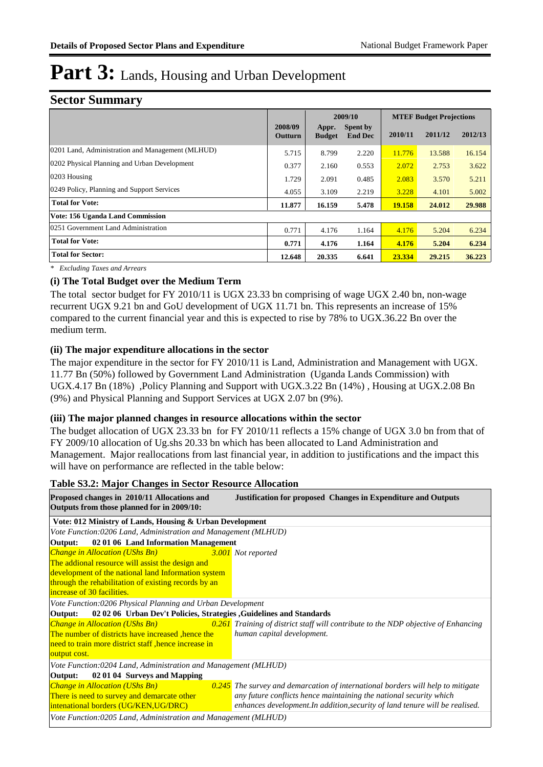#### **Sector Summary**

|                                                  |                           |                        | 2009/10                    |         | <b>MTEF Budget Projections</b> |         |
|--------------------------------------------------|---------------------------|------------------------|----------------------------|---------|--------------------------------|---------|
|                                                  | 2008/09<br><b>Outturn</b> | Appr.<br><b>Budget</b> | Spent by<br><b>End Dec</b> | 2010/11 | 2011/12                        | 2012/13 |
| 0201 Land, Administration and Management (MLHUD) | 5.715                     | 8.799                  | 2.220                      | 11.776  | 13.588                         | 16.154  |
| 0202 Physical Planning and Urban Development     | 0.377                     | 2.160                  | 0.553                      | 2.072   | 2.753                          | 3.622   |
| $0203$ Housing                                   | 1.729                     | 2.091                  | 0.485                      | 2.083   | 3.570                          | 5.211   |
| 0249 Policy, Planning and Support Services       | 4.055                     | 3.109                  | 2.219                      | 3.228   | 4.101                          | 5.002   |
| <b>Total for Vote:</b>                           | 11.877                    | 16.159                 | 5.478                      | 19.158  | 24.012                         | 29.988  |
| Vote: 156 Uganda Land Commission                 |                           |                        |                            |         |                                |         |
| 0251 Government Land Administration              | 0.771                     | 4.176                  | 1.164                      | 4.176   | 5.204                          | 6.234   |
| <b>Total for Vote:</b>                           | 0.771                     | 4.176                  | 1.164                      | 4.176   | 5.204                          | 6.234   |
| <b>Total for Sector:</b>                         | 12.648                    | 20.335                 | 6.641                      | 23.334  | 29.215                         | 36.223  |

*\* Excluding Taxes and Arrears*

#### **(i) The Total Budget over the Medium Term**

The total sector budget for FY 2010/11 is UGX 23.33 bn comprising of wage UGX 2.40 bn, non-wage recurrent UGX 9.21 bn and GoU development of UGX 11.71 bn. This represents an increase of 15% compared to the current financial year and this is expected to rise by 78% to UGX.36.22 Bn over the medium term.

#### **(ii) The major expenditure allocations in the sector**

The major expenditure in the sector for FY 2010/11 is Land, Administration and Management with UGX. 11.77 Bn (50%) followed by Government Land Administration (Uganda Lands Commission) with UGX.4.17 Bn (18%) ,Policy Planning and Support with UGX.3.22 Bn (14%) , Housing at UGX.2.08 Bn (9%) and Physical Planning and Support Services at UGX 2.07 bn (9%).

#### **(iii) The major planned changes in resource allocations within the sector**

The budget allocation of UGX 23.33 bn for FY 2010/11 reflects a 15% change of UGX 3.0 bn from that of FY 2009/10 allocation of Ug.shs 20.33 bn which has been allocated to Land Administration and Management. Major reallocations from last financial year, in addition to justifications and the impact this will have on performance are reflected in the table below:

#### **Table S3.2: Major Changes in Sector Resource Allocation**

| Proposed changes in 2010/11 Allocations and<br>Outputs from those planned for in 2009/10: | <b>Justification for proposed Changes in Expenditure and Outputs</b>               |
|-------------------------------------------------------------------------------------------|------------------------------------------------------------------------------------|
| Vote: 012 Ministry of Lands, Housing & Urban Development                                  |                                                                                    |
| Vote Function:0206 Land, Administration and Management (MLHUD)                            |                                                                                    |
| 02 01 06 Land Information Management<br>Output:                                           |                                                                                    |
| <b>Change in Allocation (UShs Bn)</b>                                                     | 3.001 Not reported                                                                 |
| The addional resource will assist the design and                                          |                                                                                    |
| development of the national land Information system                                       |                                                                                    |
| through the rehabilitation of existing records by an                                      |                                                                                    |
| increase of 30 facilities.                                                                |                                                                                    |
| Vote Function:0206 Physical Planning and Urban Development                                |                                                                                    |
| Output:<br>02 02 06 Urban Dev't Policies, Strategies, Guidelines and Standards            |                                                                                    |
| <b>Change in Allocation (UShs Bn)</b>                                                     | 0.261 Training of district staff will contribute to the NDP objective of Enhancing |
| The number of districts have increased , hence the                                        | human capital development.                                                         |
| need to train more district staff, hence increase in                                      |                                                                                    |
| output cost.                                                                              |                                                                                    |
| Vote Function: 0204 Land, Administration and Management (MLHUD)                           |                                                                                    |
| 02 01 04 Surveys and Mapping<br>Output:                                                   |                                                                                    |
| <b>Change in Allocation (UShs Bn)</b>                                                     | $0.245$ The survey and demarcation of international borders will help to mitigate  |
| There is need to survey and demarcate other                                               | any future conflicts hence maintaining the national security which                 |
| intenational borders (UG/KEN, UG/DRC)                                                     | enhances development. In addition, security of land tenure will be realised.       |
| Vote Function:0205 Land, Administration and Management (MLHUD)                            |                                                                                    |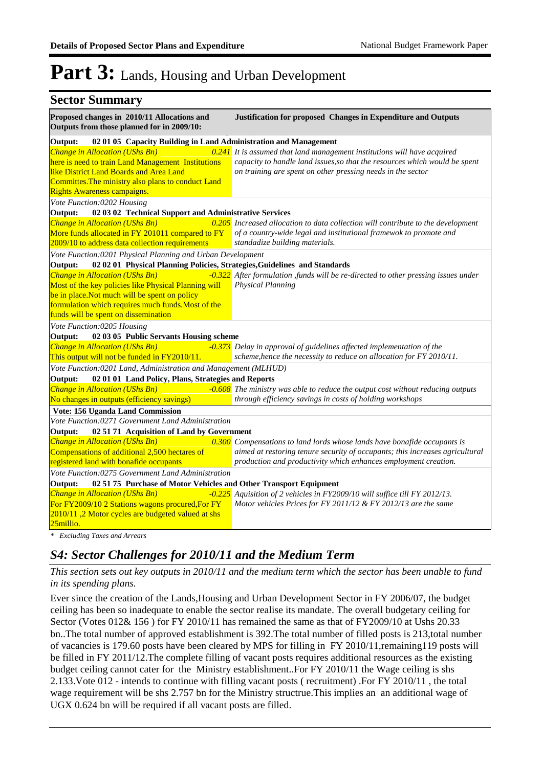| <b>Sector Summary</b>                                                                                                                                                                                                                 |                                                                                                                                                                                                                             |
|---------------------------------------------------------------------------------------------------------------------------------------------------------------------------------------------------------------------------------------|-----------------------------------------------------------------------------------------------------------------------------------------------------------------------------------------------------------------------------|
| Proposed changes in 2010/11 Allocations and<br>Outputs from those planned for in 2009/10:                                                                                                                                             | Justification for proposed Changes in Expenditure and Outputs                                                                                                                                                               |
| Output:<br>02 01 05 Capacity Building in Land Administration and Management                                                                                                                                                           |                                                                                                                                                                                                                             |
| Change in Allocation (UShs Bn)<br>here is need to train Land Management Institutions<br>like District Land Boards and Area Land<br>Committes. The ministry also plans to conduct Land<br>Rights Awareness campaigns.                  | $0.241$ It is assumed that land management institutions will have acquired<br>capacity to handle land issues, so that the resources which would be spent<br>on training are spent on other pressing needs in the sector     |
| Vote Function:0202 Housing                                                                                                                                                                                                            |                                                                                                                                                                                                                             |
| Output:<br>02 03 02 Technical Support and Administrative Services                                                                                                                                                                     |                                                                                                                                                                                                                             |
| Change in Allocation (UShs Bn)<br>More funds allocated in FY 201011 compared to FY<br>2009/10 to address data collection requirements                                                                                                 | $\sqrt{0.205}$ Increased allocation to data collection will contribute to the development<br>of a country-wide legal and institutional framewok to promote and<br>standadize building materials.                            |
| Vote Function: 0201 Physical Planning and Urban Development                                                                                                                                                                           |                                                                                                                                                                                                                             |
| 02 02 01 Physical Planning Policies, Strategies, Guidelines and Standards<br>Output:                                                                                                                                                  |                                                                                                                                                                                                                             |
| Change in Allocation (UShs Bn)<br>Most of the key policies like Physical Planning will<br>be in place. Not much will be spent on policy<br>formulation which requires much funds. Most of the<br>funds will be spent on dissemination | -0.322 After formulation ,funds will be re-directed to other pressing issues under<br><b>Physical Planning</b>                                                                                                              |
| Vote Function:0205 Housing                                                                                                                                                                                                            |                                                                                                                                                                                                                             |
| Output:<br>02 03 05 Public Servants Housing scheme                                                                                                                                                                                    |                                                                                                                                                                                                                             |
| Change in Allocation (UShs Bn)<br>This output will not be funded in FY2010/11.                                                                                                                                                        | -0.373 Delay in approval of guidelines affected implementation of the<br>scheme, hence the necessity to reduce on allocation for FY 2010/11.                                                                                |
| Vote Function: 0201 Land, Administration and Management (MLHUD)                                                                                                                                                                       |                                                                                                                                                                                                                             |
| 02 01 01 Land Policy, Plans, Strategies and Reports<br>Output:                                                                                                                                                                        |                                                                                                                                                                                                                             |
| Change in Allocation (UShs Bn)<br>No changes in outputs (efficiency savings)                                                                                                                                                          | -0.608 The ministry was able to reduce the output cost without reducing outputs<br>through efficiency savings in costs of holding workshops                                                                                 |
| Vote: 156 Uganda Land Commission                                                                                                                                                                                                      |                                                                                                                                                                                                                             |
| Vote Function:0271 Government Land Administration                                                                                                                                                                                     |                                                                                                                                                                                                                             |
| Output:<br>02 51 71 Acquisition of Land by Government                                                                                                                                                                                 |                                                                                                                                                                                                                             |
| Change in Allocation (UShs Bn)<br>Compensations of additional 2,500 hectares of<br>registered land with bonafide occupants                                                                                                            | 0.300 Compensations to land lords whose lands have bonafide occupants is<br>aimed at restoring tenure security of occupants; this increases agricultural<br>production and productivity which enhances employment creation. |
| Vote Function:0275 Government Land Administration                                                                                                                                                                                     |                                                                                                                                                                                                                             |
| Output:<br>02 51 75 Purchase of Motor Vehicles and Other Transport Equipment                                                                                                                                                          |                                                                                                                                                                                                                             |
| Change in Allocation (UShs Bn)<br>For FY2009/10 2 Stations wagons procured, For FY<br>2010/11,2 Motor cycles are budgeted valued at shs<br>25millio.                                                                                  | -0.225 Aquisition of 2 vehicles in FY2009/10 will suffice till FY 2012/13.<br>Motor vehicles Prices for FY 2011/12 & FY 2012/13 are the same                                                                                |

*\* Excluding Taxes and Arrears*

#### *S4: Sector Challenges for 2010/11 and the Medium Term*

*This section sets out key outputs in 2010/11 and the medium term which the sector has been unable to fund in its spending plans.*

Ever since the creation of the Lands,Housing and Urban Development Sector in FY 2006/07, the budget ceiling has been so inadequate to enable the sector realise its mandate. The overall budgetary ceiling for Sector (Votes 012& 156 ) for FY 2010/11 has remained the same as that of FY2009/10 at Ushs 20.33 bn..The total number of approved establishment is 392.The total number of filled posts is 213,total number of vacancies is 179.60 posts have been cleared by MPS for filling in FY 2010/11,remaining119 posts will be filled in FY 2011/12.The complete filling of vacant posts requires additional resources as the existing budget ceiling cannot cater for the Ministry establishment..For FY 2010/11 the Wage ceiling is shs 2.133.Vote 012 - intends to continue with filling vacant posts ( recruitment) .For FY 2010/11 , the total wage requirement will be shs 2.757 bn for the Ministry structrue.This implies an an additional wage of UGX 0.624 bn will be required if all vacant posts are filled.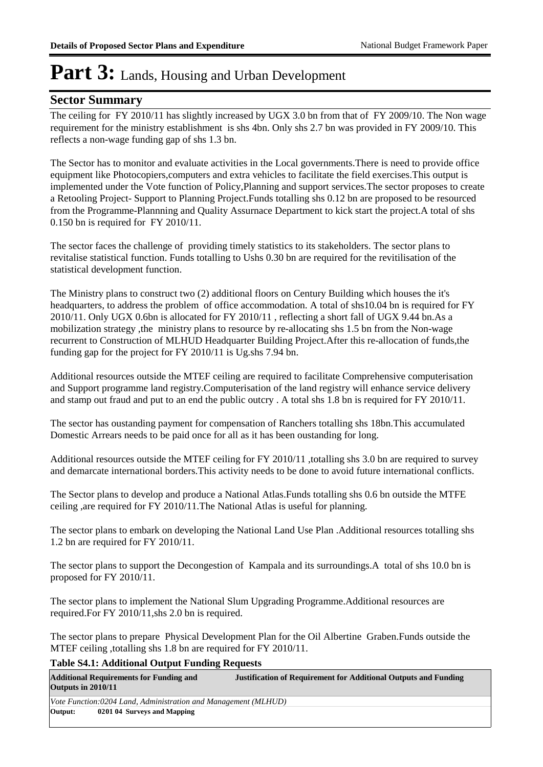#### **Sector Summary**

The ceiling for FY 2010/11 has slightly increased by UGX 3.0 bn from that of FY 2009/10. The Non wage requirement for the ministry establishment is shs 4bn. Only shs 2.7 bn was provided in FY 2009/10. This reflects a non-wage funding gap of shs 1.3 bn.

The Sector has to monitor and evaluate activities in the Local governments.There is need to provide office equipment like Photocopiers,computers and extra vehicles to facilitate the field exercises.This output is implemented under the Vote function of Policy,Planning and support services.The sector proposes to create a Retooling Project- Support to Planning Project.Funds totalling shs 0.12 bn are proposed to be resourced from the Programme-Plannning and Quality Assurnace Department to kick start the project.A total of shs 0.150 bn is required for FY 2010/11.

The sector faces the challenge of providing timely statistics to its stakeholders. The sector plans to revitalise statistical function. Funds totalling to Ushs 0.30 bn are required for the revitilisation of the statistical development function.

The Ministry plans to construct two (2) additional floors on Century Building which houses the it's headquarters, to address the problem of office accommodation. A total of shs10.04 bn is required for FY 2010/11. Only UGX 0.6bn is allocated for FY 2010/11 , reflecting a short fall of UGX 9.44 bn.As a mobilization strategy ,the ministry plans to resource by re-allocating shs 1.5 bn from the Non-wage recurrent to Construction of MLHUD Headquarter Building Project.After this re-allocation of funds,the funding gap for the project for FY 2010/11 is Ug.shs 7.94 bn.

Additional resources outside the MTEF ceiling are required to facilitate Comprehensive computerisation and Support programme land registry.Computerisation of the land registry will enhance service delivery and stamp out fraud and put to an end the public outcry . A total shs 1.8 bn is required for FY 2010/11.

The sector has oustanding payment for compensation of Ranchers totalling shs 18bn.This accumulated Domestic Arrears needs to be paid once for all as it has been oustanding for long.

Additional resources outside the MTEF ceiling for FY 2010/11 ,totalling shs 3.0 bn are required to survey and demarcate international borders.This activity needs to be done to avoid future international conflicts.

The Sector plans to develop and produce a National Atlas.Funds totalling shs 0.6 bn outside the MTFE ceiling ,are required for FY 2010/11.The National Atlas is useful for planning.

The sector plans to embark on developing the National Land Use Plan .Additional resources totalling shs 1.2 bn are required for FY 2010/11.

The sector plans to support the Decongestion of Kampala and its surroundings.A total of shs 10.0 bn is proposed for FY 2010/11.

The sector plans to implement the National Slum Upgrading Programme.Additional resources are required.For FY 2010/11,shs 2.0 bn is required.

The sector plans to prepare Physical Development Plan for the Oil Albertine Graben.Funds outside the MTEF ceiling ,totalling shs 1.8 bn are required for FY 2010/11.

#### **Table S4.1: Additional Output Funding Requests**

| Outputs in 2010/11                                             | <b>Additional Requirements for Funding and</b> | <b>Justification of Requirement for Additional Outputs and Funding</b> |  |  |
|----------------------------------------------------------------|------------------------------------------------|------------------------------------------------------------------------|--|--|
| Vote Function:0204 Land, Administration and Management (MLHUD) |                                                |                                                                        |  |  |
| Output:                                                        | 0201 04 Surveys and Mapping                    |                                                                        |  |  |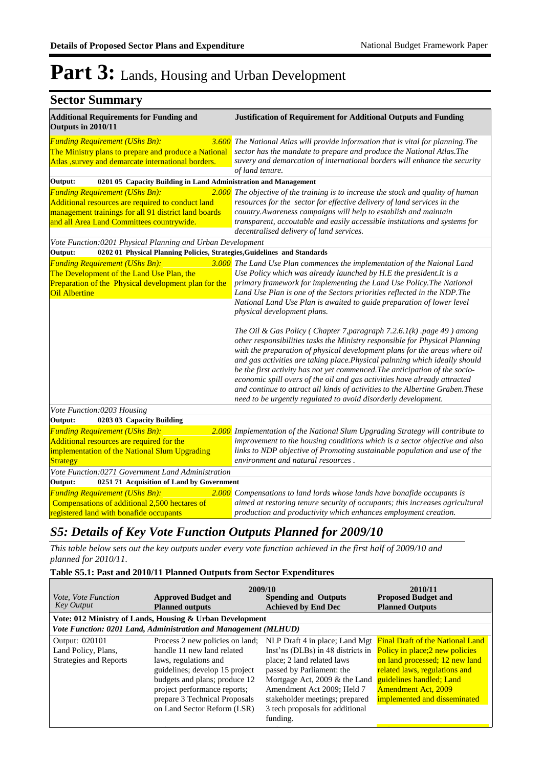### **Sector Summary**

| <b>Additional Requirements for Funding and</b><br>Outputs in 2010/11                                                                                                                            | <b>Justification of Requirement for Additional Outputs and Funding</b>                                                                                                                                                                                                                                                                                                                                                                                                                                                                                                                                                                                                                                                                                                                                                                                                                                                                                                                                                                                                                                   |
|-------------------------------------------------------------------------------------------------------------------------------------------------------------------------------------------------|----------------------------------------------------------------------------------------------------------------------------------------------------------------------------------------------------------------------------------------------------------------------------------------------------------------------------------------------------------------------------------------------------------------------------------------------------------------------------------------------------------------------------------------------------------------------------------------------------------------------------------------------------------------------------------------------------------------------------------------------------------------------------------------------------------------------------------------------------------------------------------------------------------------------------------------------------------------------------------------------------------------------------------------------------------------------------------------------------------|
| <b>Funding Requirement (UShs Bn):</b><br>The Ministry plans to prepare and produce a National<br>Atlas , survey and demarcate international borders.                                            | 3.600 The National Atlas will provide information that is vital for planning. The<br>sector has the mandate to prepare and produce the National Atlas. The<br>suvery and demarcation of international borders will enhance the security<br>of land tenure.                                                                                                                                                                                                                                                                                                                                                                                                                                                                                                                                                                                                                                                                                                                                                                                                                                               |
| 0201 05 Capacity Building in Land Administration and Management<br>Output:                                                                                                                      |                                                                                                                                                                                                                                                                                                                                                                                                                                                                                                                                                                                                                                                                                                                                                                                                                                                                                                                                                                                                                                                                                                          |
| <b>Funding Requirement (UShs Bn):</b><br>Additional resources are required to conduct land<br>management trainings for all 91 district land boards<br>and all Area Land Committees countrywide. | 2.000 The objective of the training is to increase the stock and quality of human<br>resources for the sector for effective delivery of land services in the<br>country. Awareness campaigns will help to establish and maintain<br>transparent, accoutable and easily accessible institutions and systems for<br>decentralised delivery of land services.                                                                                                                                                                                                                                                                                                                                                                                                                                                                                                                                                                                                                                                                                                                                               |
| Vote Function:0201 Physical Planning and Urban Development                                                                                                                                      |                                                                                                                                                                                                                                                                                                                                                                                                                                                                                                                                                                                                                                                                                                                                                                                                                                                                                                                                                                                                                                                                                                          |
| Output:<br>0202 01 Physical Planning Policies, Strategies, Guidelines and Standards                                                                                                             |                                                                                                                                                                                                                                                                                                                                                                                                                                                                                                                                                                                                                                                                                                                                                                                                                                                                                                                                                                                                                                                                                                          |
| <b>Funding Requirement (UShs Bn):</b><br>The Development of the Land Use Plan, the<br><b>Oil Albertine</b>                                                                                      | 3.000 The Land Use Plan commences the implementation of the Naional Land<br>Use Policy which was already launched by H.E the president. It is a<br>Preparation of the Physical development plan for the primary framework for implementing the Land Use Policy. The National<br>Land Use Plan is one of the Sectors priorities reflected in the NDP. The<br>National Land Use Plan is awaited to guide preparation of lower level<br>physical development plans.<br>The Oil & Gas Policy (Chapter 7, paragraph $7.2.6.1(k)$ . page 49) among<br>other responsibilities tasks the Ministry responsible for Physical Planning<br>with the preparation of physical development plans for the areas where oil<br>and gas activities are taking place. Physical palnning which ideally should<br>be the first activity has not yet commenced. The anticipation of the socio-<br>economic spill overs of the oil and gas activities have already attracted<br>and continue to attract all kinds of activities to the Albertine Graben. These<br>need to be urgently regulated to avoid disorderly development. |
| Vote Function:0203 Housing                                                                                                                                                                      |                                                                                                                                                                                                                                                                                                                                                                                                                                                                                                                                                                                                                                                                                                                                                                                                                                                                                                                                                                                                                                                                                                          |
| 0203 03 Capacity Building<br>Output:                                                                                                                                                            |                                                                                                                                                                                                                                                                                                                                                                                                                                                                                                                                                                                                                                                                                                                                                                                                                                                                                                                                                                                                                                                                                                          |
| <b>Funding Requirement (UShs Bn):</b><br>Additional resources are required for the<br>implementation of the National Slum Upgrading<br><b>Strategy</b>                                          | 2.000 Implementation of the National Slum Upgrading Strategy will contribute to<br>improvement to the housing conditions which is a sector objective and also<br>links to NDP objective of Promoting sustainable population and use of the<br>environment and natural resources.                                                                                                                                                                                                                                                                                                                                                                                                                                                                                                                                                                                                                                                                                                                                                                                                                         |
| Vote Function:0271 Government Land Administration                                                                                                                                               |                                                                                                                                                                                                                                                                                                                                                                                                                                                                                                                                                                                                                                                                                                                                                                                                                                                                                                                                                                                                                                                                                                          |
| Output:<br>0251 71 Acquisition of Land by Government<br><b>Funding Requirement (UShs Bn):</b><br>Compensations of additional 2,500 hectares of<br>registered land with bonafide occupants       | 2.000 Compensations to land lords whose lands have bonafide occupants is<br>aimed at restoring tenure security of occupants; this increases agricultural<br>production and productivity which enhances employment creation.                                                                                                                                                                                                                                                                                                                                                                                                                                                                                                                                                                                                                                                                                                                                                                                                                                                                              |

#### *S5: Details of Key Vote Function Outputs Planned for 2009/10*

*This table below sets out the key outputs under every vote function achieved in the first half of 2009/10 and planned for 2010/11.*

#### **Table S5.1: Past and 2010/11 Planned Outputs from Sector Expenditures**

| <i>Vote, Vote Function</i><br><b>Key Output</b>                        | 2009/10<br><b>Approved Budget and</b><br><b>Planned outputs</b>                                                                                                                                                                                           | <b>Spending and Outputs</b><br><b>Achieved by End Dec</b>                                                                                                                                                                                       | 2010/11<br><b>Proposed Budget and</b><br><b>Planned Outputs</b>                                                                                                                                                                                                 |
|------------------------------------------------------------------------|-----------------------------------------------------------------------------------------------------------------------------------------------------------------------------------------------------------------------------------------------------------|-------------------------------------------------------------------------------------------------------------------------------------------------------------------------------------------------------------------------------------------------|-----------------------------------------------------------------------------------------------------------------------------------------------------------------------------------------------------------------------------------------------------------------|
|                                                                        | Vote: 012 Ministry of Lands, Housing & Urban Development                                                                                                                                                                                                  |                                                                                                                                                                                                                                                 |                                                                                                                                                                                                                                                                 |
|                                                                        | Vote Function: 0201 Land, Administration and Management (MLHUD)                                                                                                                                                                                           |                                                                                                                                                                                                                                                 |                                                                                                                                                                                                                                                                 |
| Output: 020101<br>Land Policy, Plans,<br><b>Strategies and Reports</b> | Process 2 new policies on land;<br>handle 11 new land related<br>laws, regulations and<br>guidelines; develop 15 project<br>budgets and plans; produce 12<br>project performance reports;<br>prepare 3 Technical Proposals<br>on Land Sector Reform (LSR) | Inst'ns (DLBs) in 48 districts in<br>place; 2 land related laws<br>passed by Parliament: the<br>Mortgage Act, $2009 \&$ the Land<br>Amendment Act 2009; Held 7<br>stakeholder meetings; prepared<br>3 tech proposals for additional<br>funding. | NLP Draft 4 in place; Land Mgt Final Draft of the National Land<br>Policy in place; 2 new policies<br>on land processed; 12 new land<br>related laws, regulations and<br>guidelines handled; Land<br><b>Amendment Act, 2009</b><br>implemented and disseminated |

*Output Cost: UShs Bn: 3.619 UShs Bn: 0.756 UShs Bn: 3.012*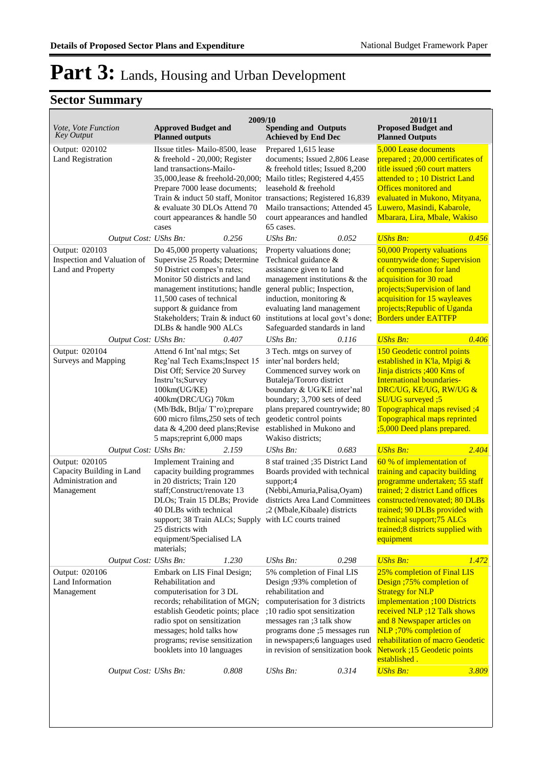| Vote, Vote Function<br><b>Key Output</b>                                        | <b>Approved Budget and</b><br><b>Planned outputs</b>                                                                                                                                                                                                                                                  | 2009/10<br><b>Spending and Outputs</b><br><b>Achieved by End Dec</b>                                                                                                                                                                                                                  |       | 2010/11<br><b>Proposed Budget and</b><br><b>Planned Outputs</b>                                                                                                                                                                                                                                         |
|---------------------------------------------------------------------------------|-------------------------------------------------------------------------------------------------------------------------------------------------------------------------------------------------------------------------------------------------------------------------------------------------------|---------------------------------------------------------------------------------------------------------------------------------------------------------------------------------------------------------------------------------------------------------------------------------------|-------|---------------------------------------------------------------------------------------------------------------------------------------------------------------------------------------------------------------------------------------------------------------------------------------------------------|
| Output: 020102<br><b>Land Registration</b>                                      | IIssue titles- Mailo-8500, lease<br>$&$ freehold - 20,000; Register<br>land transactions-Mailo-<br>35,000, lease & freehold-20,000;<br>Prepare 7000 lease documents;<br>Train & induct 50 staff, Monitor<br>& evaluate 30 DLOs Attend 70<br>court appearances & handle 50<br>cases                    | Prepared 1,615 lease<br>documents; Issued 2,806 Lease<br>& freehold titles; Issued 8,200<br>Mailo titles; Registered 4,455<br>leasehold & freehold<br>transactions; Registered 16,839<br>Mailo transactions; Attended 45<br>court appearances and handled<br>65 cases.                |       | 5,000 Lease documents<br>prepared; 20,000 certificates of<br>title issued :60 court matters<br>attended to: 10 District Land<br>Offices monitored and<br>evaluated in Mukono, Mityana,<br>Luwero, Masindi, Kabarole,<br>Mbarara, Lira, Mbale, Wakiso                                                    |
| Output Cost: UShs Bn:                                                           | 0.256                                                                                                                                                                                                                                                                                                 | $UShs Bn$ :                                                                                                                                                                                                                                                                           | 0.052 | <b>UShs Bn:</b><br>0.456                                                                                                                                                                                                                                                                                |
| Output: 020103<br>Inspection and Valuation of<br>Land and Property              | Do 45,000 property valuations;<br>Supervise 25 Roads; Determine<br>50 District compes'n rates;<br>Monitor 50 districts and land<br>management institutions; handle<br>11,500 cases of technical<br>support & guidance from<br>Stakeholders; Train & induct 60<br>DLBs & handle 900 ALCs               | Property valuations done;<br>Technical guidance &<br>assistance given to land<br>management institutions & the<br>general public; Inspection,<br>induction, monitoring &<br>evaluating land management<br>institutions at local govt's done;<br>Safeguarded standards in land         |       | 50,000 Property valuations<br>countrywide done; Supervision<br>of compensation for land<br>acquisition for 30 road<br>projects;Supervision of land<br>acquisition for 15 wayleaves<br>projects; Republic of Uganda<br><b>Borders under EATTFP</b>                                                       |
| Output Cost: UShs Bn:                                                           | 0.407                                                                                                                                                                                                                                                                                                 | UShs Bn:                                                                                                                                                                                                                                                                              | 0.116 | <b>UShs Bn:</b><br>0.406                                                                                                                                                                                                                                                                                |
| Output: 020104<br>Surveys and Mapping                                           | Attend 6 Int'nal mtgs; Set<br>Reg'nal Tech Exams; Inspect 15<br>Dist Off; Service 20 Survey<br>Instru'ts;Survey<br>100km(UG/KE)<br>400km(DRC/UG) 70km                                                                                                                                                 | 3 Tech. mtgs on survey of<br>inter'nal borders held;<br>Commenced survey work on<br>Butaleja/Tororo district<br>boundary & UG/KE inter'nal<br>boundary; 3,700 sets of deed                                                                                                            |       | 150 Geodetic control points<br>established in K'la, Mpigi &<br>Jinja districts ;400 Kms of<br><b>International boundaries-</b><br>DRC/UG, KE/UG, RW/UG &<br>SU/UG surveyed ;5                                                                                                                           |
|                                                                                 | (Mb/Bdk, Btlja/T'ro); prepare<br>600 micro films, 250 sets of tech<br>data & 4,200 deed plans; Revise<br>5 maps; reprint 6,000 maps                                                                                                                                                                   | plans prepared countrywide; 80<br>geodetic control points<br>established in Mukono and<br>Wakiso districts:                                                                                                                                                                           |       | Topographical maps revised ;4<br>Topographical maps reprinted<br>;5,000 Deed plans prepared.                                                                                                                                                                                                            |
| Output Cost: UShs Bn:                                                           | 2.159                                                                                                                                                                                                                                                                                                 | UShs Bn:                                                                                                                                                                                                                                                                              | 0.683 | <b>UShs Bn:</b><br>2.404                                                                                                                                                                                                                                                                                |
| Output: 020105<br>Capacity Building in Land<br>Administration and<br>Management | Implement Training and<br>capacity building programmes<br>in 20 districts; Train 120<br>staff;Construct/renovate 13<br>DLOs; Train 15 DLBs; Provide<br>40 DLBs with technical<br>support; 38 Train ALCs; Supply with LC courts trained<br>25 districts with<br>equipment/Specialised LA<br>materials; | 8 staf trained ;35 District Land<br>Boards provided with technical<br>support;4<br>(Nebbi, Amuria, Palisa, Oyam)<br>districts Area Land Committees<br>;2 (Mbale, Kibaale) districts                                                                                                   |       | 60 % of implementation of<br>training and capacity building<br>programme undertaken; 55 staff<br>trained; 2 district Land offices<br>constructed/renovated; 80 DLBs<br>trained; 90 DLBs provided with<br>technical support;75 ALCs<br>trained;8 districts supplied with<br>equipment                    |
| Output Cost: UShs Bn:                                                           | 1.230                                                                                                                                                                                                                                                                                                 | UShs Bn:                                                                                                                                                                                                                                                                              | 0.298 | <b>UShs Bn:</b><br>1.472                                                                                                                                                                                                                                                                                |
| Output: 020106<br>Land Information<br>Management                                | Embark on LIS Final Design;<br>Rehabilitation and<br>computerisation for 3 DL<br>records; rehabilitation of MGN;<br>establish Geodetic points; place<br>radio spot on sensitization<br>messages; hold talks how<br>programs; revise sensitization<br>booklets into 10 languages                       | 5% completion of Final LIS<br>Design ;93% completion of<br>rehabilitation and<br>computerisation for 3 districts<br>;10 radio spot sensitization<br>messages ran ;3 talk show<br>programs done ;5 messages run<br>in newspapers;6 languages used<br>in revision of sensitization book |       | 25% completion of Final LIS<br>Design ;75% completion of<br><b>Strategy for NLP</b><br>implementation ;100 Districts<br>received NLP ;12 Talk shows<br>and 8 Newspaper articles on<br>NLP ;70% completion of<br>rehabilitation of macro Geodetic<br><b>Network</b> ; 15 Geodetic points<br>established. |
| Output Cost: UShs Bn:                                                           | 0.808                                                                                                                                                                                                                                                                                                 | UShs Bn:                                                                                                                                                                                                                                                                              | 0.314 | <b>UShs Bn:</b><br>3.809                                                                                                                                                                                                                                                                                |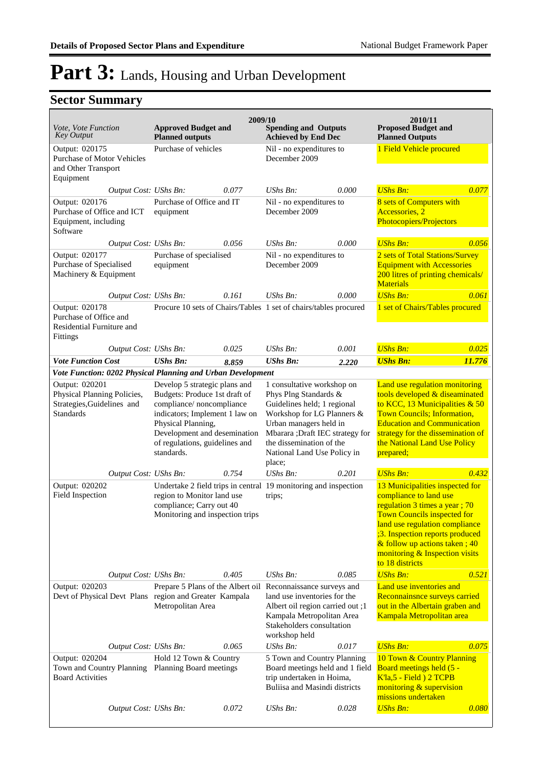|                                                                                                 |                                                                                                                                                                                                                                    | 2009/10 |                                                                                                                                                                                                                                                    |       | 2010/11                                                                                                                                                                                                                                                                                     |        |
|-------------------------------------------------------------------------------------------------|------------------------------------------------------------------------------------------------------------------------------------------------------------------------------------------------------------------------------------|---------|----------------------------------------------------------------------------------------------------------------------------------------------------------------------------------------------------------------------------------------------------|-------|---------------------------------------------------------------------------------------------------------------------------------------------------------------------------------------------------------------------------------------------------------------------------------------------|--------|
| Vote, Vote Function<br><b>Key Output</b>                                                        | <b>Approved Budget and</b><br><b>Planned outputs</b>                                                                                                                                                                               |         | <b>Spending and Outputs</b><br><b>Achieved by End Dec</b>                                                                                                                                                                                          |       | <b>Proposed Budget and</b><br><b>Planned Outputs</b>                                                                                                                                                                                                                                        |        |
| Output: 020175<br><b>Purchase of Motor Vehicles</b><br>and Other Transport<br>Equipment         | Purchase of vehicles                                                                                                                                                                                                               |         | Nil - no expenditures to<br>December 2009                                                                                                                                                                                                          |       | 1 Field Vehicle procured                                                                                                                                                                                                                                                                    |        |
| Output Cost: UShs Bn:                                                                           |                                                                                                                                                                                                                                    | 0.077   | UShs Bn:                                                                                                                                                                                                                                           | 0.000 | <b>UShs Bn:</b>                                                                                                                                                                                                                                                                             | 0.077  |
| Output: 020176<br>Purchase of Office and ICT<br>Equipment, including<br>Software                | Purchase of Office and IT<br>equipment                                                                                                                                                                                             |         | Nil - no expenditures to<br>December 2009                                                                                                                                                                                                          |       | 8 sets of Computers with<br>Accessories, 2<br>Photocopiers/Projectors                                                                                                                                                                                                                       |        |
| Output Cost: UShs Bn:                                                                           |                                                                                                                                                                                                                                    | 0.056   | UShs Bn:                                                                                                                                                                                                                                           | 0.000 | <b>UShs Bn:</b>                                                                                                                                                                                                                                                                             | 0.056  |
| Output: 020177<br>Purchase of Specialised<br>Machinery & Equipment                              | Purchase of specialised<br>equipment                                                                                                                                                                                               |         | Nil - no expenditures to<br>December 2009                                                                                                                                                                                                          |       | 2 sets of Total Stations/Survey<br><b>Equipment with Accessories</b><br>200 litres of printing chemicals/<br><b>Materials</b>                                                                                                                                                               |        |
| Output Cost: UShs Bn:                                                                           |                                                                                                                                                                                                                                    | 0.161   | UShs Bn:                                                                                                                                                                                                                                           | 0.000 | <b>UShs Bn:</b>                                                                                                                                                                                                                                                                             | 0.061  |
| Output: 020178<br>Purchase of Office and<br>Residential Furniture and<br>Fittings               |                                                                                                                                                                                                                                    |         | Procure 10 sets of Chairs/Tables 1 set of chairs/tables procured                                                                                                                                                                                   |       | 1 set of Chairs/Tables procured                                                                                                                                                                                                                                                             |        |
| Output Cost: UShs Bn:                                                                           |                                                                                                                                                                                                                                    | 0.025   | UShs Bn:                                                                                                                                                                                                                                           | 0.001 | <b>UShs Bn:</b>                                                                                                                                                                                                                                                                             | 0.025  |
| <b>Vote Function Cost</b>                                                                       | <b>UShs Bn:</b>                                                                                                                                                                                                                    | 8.859   | <b>UShs Bn:</b>                                                                                                                                                                                                                                    | 2.220 | <b>UShs Bn:</b>                                                                                                                                                                                                                                                                             | 11.776 |
| Vote Function: 0202 Physical Planning and Urban Development                                     |                                                                                                                                                                                                                                    |         |                                                                                                                                                                                                                                                    |       |                                                                                                                                                                                                                                                                                             |        |
| Output: 020201<br>Physical Planning Policies,<br>Strategies, Guidelines and<br><b>Standards</b> | Develop 5 strategic plans and<br>Budgets: Produce 1st draft of<br>compliance/noncompliance<br>indicators; Implement 1 law on<br>Physical Planning,<br>Development and desemination<br>of regulations, guidelines and<br>standards. |         | 1 consultative workshop on<br>Phys Plng Standards &<br>Guidelines held; 1 regional<br>Workshop for LG Planners &<br>Urban managers held in<br>Mbarara ;Draft IEC strategy for<br>the dissemination of the<br>National Land Use Policy in<br>place; |       | Land use regulation monitoring<br>tools developed & diseaminated<br>to KCC, 13 Municipalities & 50<br><b>Town Councils; Information,</b><br><b>Education and Communication</b><br>strategy for the dissemination of<br>the National Land Use Policy<br>prepared;                            |        |
| Output Cost: UShs Bn:                                                                           |                                                                                                                                                                                                                                    | 0.754   | UShs Bn:                                                                                                                                                                                                                                           | 0.201 | <b>UShs Bn:</b>                                                                                                                                                                                                                                                                             | 0.432  |
| Output: 020202<br>Field Inspection                                                              | region to Monitor land use<br>compliance; Carry out 40<br>Monitoring and inspection trips                                                                                                                                          |         | Undertake 2 field trips in central 19 monitoring and inspection<br>trips;                                                                                                                                                                          |       | 13 Municipalities inspected for<br>compliance to land use<br>regulation 3 times a year; 70<br><b>Town Councils inspected for</b><br>land use regulation compliance<br>;3. Inspection reports produced<br>& follow up actions taken; 40<br>monitoring & Inspection visits<br>to 18 districts |        |
| Output Cost: UShs Bn:                                                                           |                                                                                                                                                                                                                                    | 0.405   | UShs Bn:                                                                                                                                                                                                                                           | 0.085 | <b>UShs Bn:</b>                                                                                                                                                                                                                                                                             | 0.521  |
| Output: 020203<br>Devt of Physical Devt Plans region and Greater Kampala                        | Prepare 5 Plans of the Albert oil<br>Metropolitan Area                                                                                                                                                                             |         | Reconnaissance surveys and<br>land use inventories for the<br>Albert oil region carried out ;1<br>Kampala Metropolitan Area<br>Stakeholders consultation<br>workshop held                                                                          |       | Land use inventories and<br>Reconnainsnce surveys carried<br>out in the Albertain graben and<br>Kampala Metropolitan area                                                                                                                                                                   |        |
| Output Cost: UShs Bn:                                                                           |                                                                                                                                                                                                                                    | 0.065   | UShs Bn:                                                                                                                                                                                                                                           | 0.017 | <b>UShs Bn:</b>                                                                                                                                                                                                                                                                             | 0.075  |
| Output: 020204<br>Town and Country Planning Planning Board meetings<br><b>Board Activities</b>  | Hold 12 Town & Country                                                                                                                                                                                                             |         | 5 Town and Country Planning<br>Board meetings held and 1 field<br>trip undertaken in Hoima,<br>Buliisa and Masindi districts                                                                                                                       |       | 10 Town & Country Planning<br>Board meetings held (5 -<br>$K$ <sup>1</sup> a, 5 - Field $\frac{1}{2}$ TCPB<br>monitoring & supervision<br>missions undertaken                                                                                                                               |        |
| Output Cost: UShs Bn:                                                                           |                                                                                                                                                                                                                                    | 0.072   | UShs Bn:                                                                                                                                                                                                                                           | 0.028 | <b>UShs Bn:</b>                                                                                                                                                                                                                                                                             | 0.080  |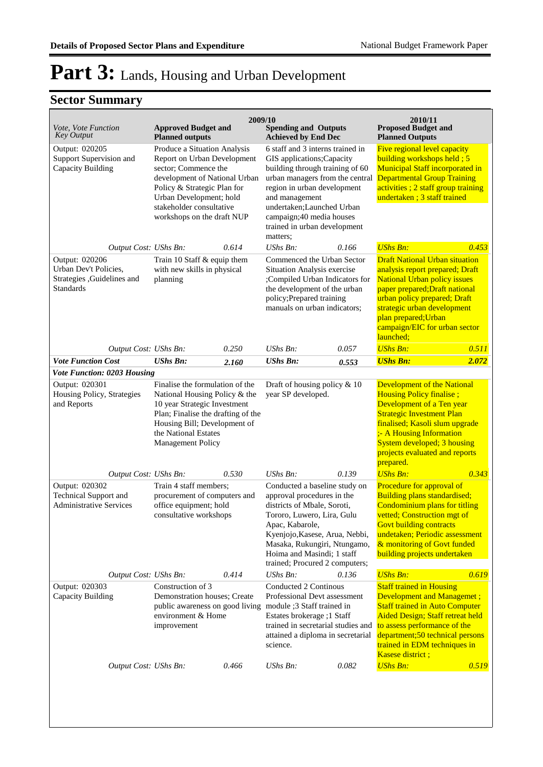| <i>Vote, Vote Function</i><br><b>Key Output</b>                                     | <b>Approved Budget and</b><br><b>Planned outputs</b>                                                                                                                                                                                     | 2009/10 | <b>Spending and Outputs</b><br><b>Achieved by End Dec</b>                                                                                                                                                                                                                                   |       | 2010/11<br><b>Proposed Budget and</b><br><b>Planned Outputs</b>                                                                                                                                                                                                                        |       |
|-------------------------------------------------------------------------------------|------------------------------------------------------------------------------------------------------------------------------------------------------------------------------------------------------------------------------------------|---------|---------------------------------------------------------------------------------------------------------------------------------------------------------------------------------------------------------------------------------------------------------------------------------------------|-------|----------------------------------------------------------------------------------------------------------------------------------------------------------------------------------------------------------------------------------------------------------------------------------------|-------|
| Output: 020205<br>Support Supervision and<br><b>Capacity Building</b>               | Produce a Situation Analysis<br>Report on Urban Development<br>sector; Commence the<br>development of National Urban<br>Policy & Strategic Plan for<br>Urban Development; hold<br>stakeholder consultative<br>workshops on the draft NUP |         | 6 staff and 3 interns trained in<br>GIS applications; Capacity<br>building through training of 60<br>urban managers from the central<br>region in urban development<br>and management<br>undertaken; Launched Urban<br>campaign;40 media houses<br>trained in urban development<br>matters; |       | Five regional level capacity<br>building workshops held; $5$<br><b>Municipal Staff incorporated in</b><br><b>Departmental Group Training</b><br>activities; 2 staff group training<br>undertaken; 3 staff trained                                                                      |       |
| Output Cost: UShs Bn:                                                               |                                                                                                                                                                                                                                          | 0.614   | UShs Bn:                                                                                                                                                                                                                                                                                    | 0.166 | <b>UShs Bn:</b>                                                                                                                                                                                                                                                                        | 0.453 |
| Output: 020206<br>Urban Dev't Policies,<br>Strategies , Guidelines and<br>Standards | Train 10 Staff & equip them<br>with new skills in physical<br>planning                                                                                                                                                                   |         | Commenced the Urban Sector<br>Situation Analysis exercise<br>;Compiled Urban Indicators for<br>the development of the urban<br>policy; Prepared training<br>manuals on urban indicators;                                                                                                    |       | <b>Draft National Urban situation</b><br>analysis report prepared; Draft<br><b>National Urban policy issues</b><br>paper prepared; Draft national<br>urban policy prepared; Draft<br>strategic urban development<br>plan prepared; Urban<br>campaign/EIC for urban sector<br>launched; |       |
| Output Cost: UShs Bn:                                                               |                                                                                                                                                                                                                                          | 0.250   | UShs Bn:                                                                                                                                                                                                                                                                                    | 0.057 | <b>UShs Bn:</b>                                                                                                                                                                                                                                                                        | 0.511 |
| <b>Vote Function Cost</b>                                                           | <b>UShs Bn:</b>                                                                                                                                                                                                                          | 2.160   | <b>UShs Bn:</b>                                                                                                                                                                                                                                                                             | 0.553 | <b>UShs Bn:</b>                                                                                                                                                                                                                                                                        | 2.072 |
| <b>Vote Function: 0203 Housing</b>                                                  |                                                                                                                                                                                                                                          |         |                                                                                                                                                                                                                                                                                             |       |                                                                                                                                                                                                                                                                                        |       |
| Output: 020301<br>Housing Policy, Strategies<br>and Reports                         | Finalise the formulation of the<br>National Housing Policy & the<br>10 year Strategic Investment<br>Plan; Finalise the drafting of the<br>Housing Bill; Development of<br>the National Estates<br>Management Policy                      |         | Draft of housing policy $\&$ 10<br>year SP developed.                                                                                                                                                                                                                                       |       | <b>Development of the National</b><br>Housing Policy finalise;<br>Development of a Ten year<br><b>Strategic Investment Plan</b><br>finalised; Kasoli slum upgrade<br>;- A Housing Information<br>System developed; 3 housing<br>projects evaluated and reports<br>prepared.            |       |
| Output Cost: UShs Bn:                                                               |                                                                                                                                                                                                                                          | 0.530   | UShs Bn:                                                                                                                                                                                                                                                                                    | 0.139 | <b>UShs Bn:</b>                                                                                                                                                                                                                                                                        | 0.343 |
| Output: 020302<br><b>Technical Support and</b><br><b>Administrative Services</b>    | Train 4 staff members;<br>procurement of computers and<br>office equipment; hold<br>consultative workshops                                                                                                                               |         | Conducted a baseline study on<br>approval procedures in the<br>districts of Mbale, Soroti,<br>Tororo, Luwero, Lira, Gulu<br>Apac, Kabarole,<br>Kyenjojo, Kasese, Arua, Nebbi,<br>Masaka, Rukungiri, Ntungamo,<br>Hoima and Masindi; 1 staff<br>trained; Procured 2 computers;               |       | Procedure for approval of<br>Building plans standardised;<br>Condominium plans for titling<br>vetted; Construction mgt of<br><b>Govt building contracts</b><br>undetaken; Periodic assessment<br>& monitoring of Govt funded<br>building projects undertaken                           |       |
| Output Cost: UShs Bn:                                                               |                                                                                                                                                                                                                                          | 0.414   | UShs Bn:                                                                                                                                                                                                                                                                                    | 0.136 | <b>UShs Bn:</b>                                                                                                                                                                                                                                                                        | 0.619 |
| Output: 020303<br>Capacity Building                                                 | Construction of 3<br>Demonstration houses; Create<br>public awareness on good living<br>environment & Home<br>improvement                                                                                                                |         | Conducted 2 Continous<br>Professional Devt assessment<br>module ;3 Staff trained in<br>Estates brokerage ;1 Staff<br>trained in secretarial studies and<br>attained a diploma in secretarial<br>science.                                                                                    |       | <b>Staff trained in Housing</b><br>Development and Managemet;<br><b>Staff trained in Auto Computer</b><br><b>Aided Design; Staff retreat held</b><br>to assess performance of the<br>department;50 technical persons<br>trained in EDM techniques in<br>Kasese district;               |       |
| Output Cost: UShs Bn:                                                               |                                                                                                                                                                                                                                          | 0.466   | UShs Bn:                                                                                                                                                                                                                                                                                    | 0.082 | <b>UShs Bn:</b>                                                                                                                                                                                                                                                                        | 0.519 |
|                                                                                     |                                                                                                                                                                                                                                          |         |                                                                                                                                                                                                                                                                                             |       |                                                                                                                                                                                                                                                                                        |       |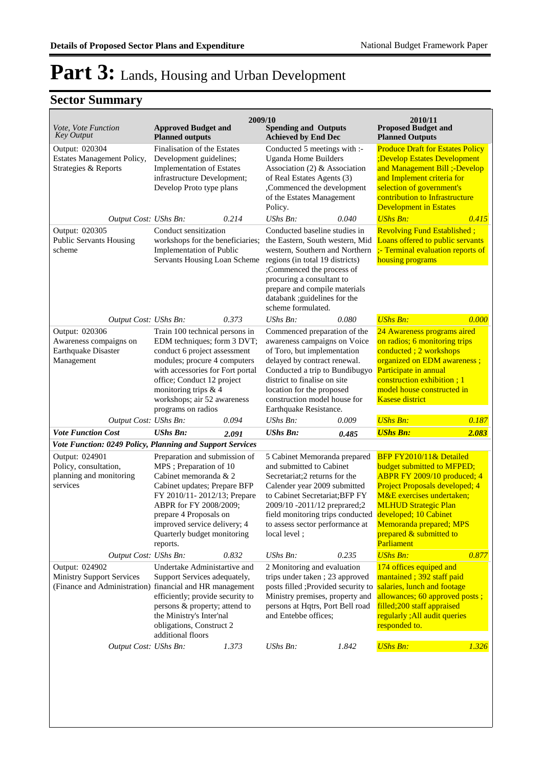|                                                                                                                |                                                                                                                                                                                                                                                                                 | 2009/10 |                                                                                                                                                                                                                                                                                         |       | 2010/11                                                                                                                                                                                                                                                                                                          |       |
|----------------------------------------------------------------------------------------------------------------|---------------------------------------------------------------------------------------------------------------------------------------------------------------------------------------------------------------------------------------------------------------------------------|---------|-----------------------------------------------------------------------------------------------------------------------------------------------------------------------------------------------------------------------------------------------------------------------------------------|-------|------------------------------------------------------------------------------------------------------------------------------------------------------------------------------------------------------------------------------------------------------------------------------------------------------------------|-------|
| <i>Vote, Vote Function</i><br>Key Output                                                                       | <b>Approved Budget and</b><br><b>Planned outputs</b>                                                                                                                                                                                                                            |         | <b>Spending and Outputs</b><br><b>Achieved by End Dec</b>                                                                                                                                                                                                                               |       | <b>Proposed Budget and</b><br><b>Planned Outputs</b>                                                                                                                                                                                                                                                             |       |
| Output: 020304<br>Estates Management Policy,<br>Strategies & Reports                                           | Finalisation of the Estates<br>Development guidelines;<br><b>Implementation of Estates</b><br>infrastructure Development;<br>Develop Proto type plans                                                                                                                           |         | Conducted 5 meetings with :-<br>Uganda Home Builders<br>Association (2) & Association<br>of Real Estates Agents (3)<br>,Commenced the development<br>of the Estates Management<br>Policy.                                                                                               |       | <b>Produce Draft for Estates Policy</b><br>;Develop Estates Development<br>and Management Bill ;-Develop<br>and Implement criteria for<br>selection of government's<br>contribution to Infrastructure<br><b>Development in Estates</b>                                                                           |       |
| Output Cost: UShs Bn:                                                                                          |                                                                                                                                                                                                                                                                                 | 0.214   | UShs Bn:                                                                                                                                                                                                                                                                                | 0.040 | <b>UShs Bn:</b>                                                                                                                                                                                                                                                                                                  | 0.415 |
| Output: 020305<br><b>Public Servants Housing</b><br>scheme                                                     | Conduct sensitization<br>workshops for the beneficiaries;<br>Implementation of Public<br>Servants Housing Loan Scheme                                                                                                                                                           |         | Conducted baseline studies in<br>the Eastern, South western, Mid<br>western, Southern and Northern<br>regions (in total 19 districts)<br>;Commenced the process of<br>procuring a consultant to<br>prepare and compile materials<br>databank ; guidelines for the<br>scheme formulated. |       | <b>Revolving Fund Established;</b><br>Loans offered to public servants<br>;- Terminal evaluation reports of<br>housing programs                                                                                                                                                                                  |       |
| Output Cost: UShs Bn:                                                                                          |                                                                                                                                                                                                                                                                                 | 0.373   | UShs Bn:                                                                                                                                                                                                                                                                                | 0.080 | <b>UShs Bn:</b>                                                                                                                                                                                                                                                                                                  | 0.000 |
| Output: 020306<br>Awareness compaigns on<br>Earthquake Disaster<br>Management                                  | Train 100 technical persons in<br>EDM techniques; form 3 DVT;<br>conduct 6 project assessment<br>modules; procure 4 computers<br>with accessories for Fort portal<br>office; Conduct 12 project<br>monitoring trips & 4<br>workshops; air 52 awareness<br>programs on radios    |         | Commenced preparation of the<br>awareness campaigns on Voice<br>of Toro, but implementation<br>delayed by contract renewal.<br>Conducted a trip to Bundibugyo<br>district to finalise on site<br>location for the proposed<br>construction model house for<br>Earthquake Resistance.    |       | 24 Awareness programs aired<br>on radios; 6 monitoring trips<br>conducted; 2 workshops<br>organized on EDM awareness;<br>Participate in annual<br>construction exhibition; 1<br>model house constructed in<br><b>Kasese district</b>                                                                             |       |
| Output Cost: UShs Bn:                                                                                          |                                                                                                                                                                                                                                                                                 | 0.094   | UShs $Bn$ :                                                                                                                                                                                                                                                                             | 0.009 | <b>UShs Bn:</b>                                                                                                                                                                                                                                                                                                  | 0.187 |
| <b>Vote Function Cost</b>                                                                                      | <b>UShs Bn:</b>                                                                                                                                                                                                                                                                 | 2.091   | <b>UShs Bn:</b>                                                                                                                                                                                                                                                                         | 0.485 | <b>UShs Bn:</b>                                                                                                                                                                                                                                                                                                  | 2.083 |
| Vote Function: 0249 Policy, Planning and Support Services                                                      |                                                                                                                                                                                                                                                                                 |         |                                                                                                                                                                                                                                                                                         |       |                                                                                                                                                                                                                                                                                                                  |       |
| Output: 024901<br>Policy, consultation,<br>planning and monitoring<br>services                                 | Preparation and submission of<br>MPS ; Preparation of 10<br>Cabinet memoranda & 2<br>Cabinet updates; Prepare BFP<br>FY 2010/11-2012/13; Prepare<br>ABPR for FY 2008/2009;<br>prepare 4 Proposals on<br>improved service delivery; 4<br>Quarterly budget monitoring<br>reports. |         | 5 Cabinet Memoranda prepared<br>and submitted to Cabinet<br>Secretariat;2 returns for the<br>Calender year 2009 submitted<br>to Cabinet Secretariat; BFP FY<br>2009/10 -2011/12 preprared;2<br>to assess sector performance at<br>local level;                                          |       | BFP FY2010/11& Detailed<br>budget submitted to MFPED;<br>ABPR FY 2009/10 produced; 4<br>Project Proposals developed; 4<br>M&E exercises undertaken;<br><b>MLHUD Strategic Plan</b><br>field monitoring trips conducted developed; 10 Cabinet<br>Memoranda prepared; MPS<br>prepared & submitted to<br>Parliament |       |
| Output Cost: UShs Bn:                                                                                          |                                                                                                                                                                                                                                                                                 | 0.832   | UShs Bn:                                                                                                                                                                                                                                                                                | 0.235 | <b>UShs Bn:</b>                                                                                                                                                                                                                                                                                                  | 0.877 |
| Output: 024902<br><b>Ministry Support Services</b><br>(Finance and Administration) financial and HR management | Undertake Administartive and<br>Support Services adequately,<br>efficiently; provide security to<br>persons & property; attend to<br>the Ministry's Inter'nal<br>obligations, Construct 2<br>additional floors                                                                  |         | 2 Monitoring and evaluation<br>trips under taken; 23 approved<br>posts filled ; Provided security to<br>Ministry premises, property and<br>persons at Hqtrs, Port Bell road<br>and Entebbe offices;                                                                                     |       | 174 offices equiped and<br>mantained; 392 staff paid<br>salaries, lunch and footage<br>allowances; 60 approved posts;<br>filled;200 staff appraised<br>regularly; All audit queries<br>responded to.                                                                                                             |       |
| Output Cost: UShs Bn:                                                                                          |                                                                                                                                                                                                                                                                                 | 1.373   | UShs Bn:                                                                                                                                                                                                                                                                                | 1.842 | <b>UShs Bn:</b>                                                                                                                                                                                                                                                                                                  | 1.326 |
|                                                                                                                |                                                                                                                                                                                                                                                                                 |         |                                                                                                                                                                                                                                                                                         |       |                                                                                                                                                                                                                                                                                                                  |       |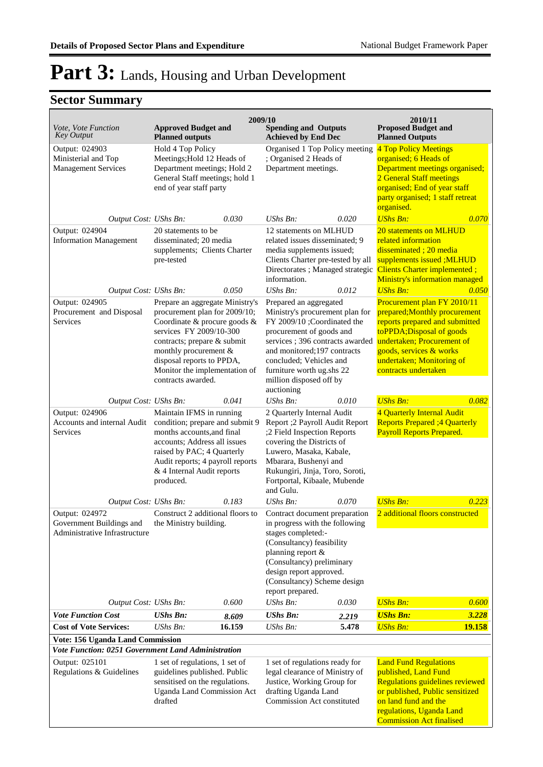| 2009/10<br>2010/11                                                          |                                                                                                                                                                                                                                                                         |                 |                                                                                                                                                                                                                                                                                          |                |                                                                                                                                                                                                                                           |                 |
|-----------------------------------------------------------------------------|-------------------------------------------------------------------------------------------------------------------------------------------------------------------------------------------------------------------------------------------------------------------------|-----------------|------------------------------------------------------------------------------------------------------------------------------------------------------------------------------------------------------------------------------------------------------------------------------------------|----------------|-------------------------------------------------------------------------------------------------------------------------------------------------------------------------------------------------------------------------------------------|-----------------|
| Vote, Vote Function<br><b>Key Output</b>                                    | <b>Approved Budget and</b><br><b>Planned outputs</b>                                                                                                                                                                                                                    |                 | <b>Spending and Outputs</b><br><b>Achieved by End Dec</b>                                                                                                                                                                                                                                |                | <b>Proposed Budget and</b><br><b>Planned Outputs</b>                                                                                                                                                                                      |                 |
| Output: 024903<br>Ministerial and Top<br><b>Management Services</b>         | Hold 4 Top Policy<br>Meetings; Hold 12 Heads of<br>Department meetings; Hold 2<br>General Staff meetings; hold 1<br>end of year staff party                                                                                                                             |                 | Organised 1 Top Policy meeting<br>; Organised 2 Heads of<br>Department meetings.                                                                                                                                                                                                         |                | 4 Top Policy Meetings<br>organised; 6 Heads of<br>Department meetings organised;<br>2 General Staff meetings<br>organised; End of year staff<br>party organised; 1 staff retreat<br>organised.                                            |                 |
| Output Cost: UShs Bn:                                                       |                                                                                                                                                                                                                                                                         | 0.030           | UShs Bn:                                                                                                                                                                                                                                                                                 | 0.020          | <b>UShs Bn:</b>                                                                                                                                                                                                                           | 0.070           |
| Output: 024904<br><b>Information Management</b>                             | 20 statements to be<br>disseminated; 20 media<br>supplements; Clients Charter<br>pre-tested                                                                                                                                                                             |                 | 12 statements on MLHUD<br>related issues disseminated; 9<br>media supplements issued;<br>Clients Charter pre-tested by all<br>Directorates ; Managed strategic<br>information.                                                                                                           |                | 20 statements on MLHUD<br>related information<br>disseminated; 20 media<br>supplements issued ;MLHUD<br>Clients Charter implemented;<br>Ministry's information managed                                                                    |                 |
| Output Cost: UShs Bn:                                                       |                                                                                                                                                                                                                                                                         | 0.050           | UShs Bn:                                                                                                                                                                                                                                                                                 | 0.012          | <b>UShs Bn:</b>                                                                                                                                                                                                                           | 0.050           |
| Output: 024905<br>Procurement and Disposal<br>Services                      | Prepare an aggregate Ministry's<br>procurement plan for 2009/10;<br>Coordinate & procure goods &<br>services FY 2009/10-300<br>contracts; prepare & submit<br>monthly procurement &<br>disposal reports to PPDA,<br>Monitor the implementation of<br>contracts awarded. |                 | Prepared an aggregated<br>Ministry's procurement plan for<br>FY 2009/10 ;Coordinated the<br>procurement of goods and<br>services; 396 contracts awarded<br>and monitored; 197 contracts<br>concluded; Vehicles and<br>furniture worth ug.shs 22<br>million disposed off by<br>auctioning |                | Procurement plan FY 2010/11<br>prepared; Monthly procurement<br>reports prepared and submitted<br>toPPDA; Disposal of goods<br>undertaken; Procurement of<br>goods, services & works<br>undertaken; Monitoring of<br>contracts undertaken |                 |
| Output Cost: UShs Bn:                                                       |                                                                                                                                                                                                                                                                         | 0.041           | $UShs Bn$ :                                                                                                                                                                                                                                                                              | 0.010          | <b>UShs Bn:</b>                                                                                                                                                                                                                           | 0.082           |
| Output: 024906<br>Accounts and internal Audit<br>Services                   | Maintain IFMS in running<br>condition; prepare and submit 9<br>months accounts, and final<br>accounts; Address all issues<br>raised by PAC; 4 Quarterly<br>Audit reports; 4 payroll reports<br>& 4 Internal Audit reports<br>produced.                                  |                 | 2 Quarterly Internal Audit<br>Report ;2 Payroll Audit Report<br>;2 Field Inspection Reports<br>covering the Districts of<br>Luwero, Masaka, Kabale,<br>Mbarara, Bushenyi and<br>Rukungiri, Jinja, Toro, Soroti,<br>Fortportal, Kibaale, Mubende<br>and Gulu.                             |                | 4 Quarterly Internal Audit<br><b>Reports Prepared ;4 Quarterly</b><br><b>Payroll Reports Prepared.</b>                                                                                                                                    |                 |
| Output Cost: UShs Bn:                                                       |                                                                                                                                                                                                                                                                         | 0.183           | $UShs Bn$ :                                                                                                                                                                                                                                                                              | 0.070          | <b>UShs Bn:</b>                                                                                                                                                                                                                           | 0.223           |
| Output: 024972<br>Government Buildings and<br>Administrative Infrastructure | Construct 2 additional floors to<br>the Ministry building.                                                                                                                                                                                                              |                 | Contract document preparation<br>in progress with the following<br>stages completed:-<br>(Consultancy) feasibility<br>planning report &<br>(Consultancy) preliminary<br>design report approved.<br>(Consultancy) Scheme design<br>report prepared.                                       |                | 2 additional floors constructed                                                                                                                                                                                                           |                 |
| Output Cost: UShs Bn:                                                       |                                                                                                                                                                                                                                                                         | 0.600           | UShs Bn:                                                                                                                                                                                                                                                                                 | 0.030          | <b>UShs Bn:</b>                                                                                                                                                                                                                           | 0.600           |
| <b>Vote Function Cost</b><br><b>Cost of Vote Services:</b>                  | <b>UShs Bn:</b><br>UShs Bn:                                                                                                                                                                                                                                             | 8.609<br>16.159 | <b>UShs Bn:</b><br>UShs Bn:                                                                                                                                                                                                                                                              | 2.219<br>5.478 | <b>UShs Bn:</b><br><b>UShs Bn:</b>                                                                                                                                                                                                        | 3.228<br>19.158 |
| Vote: 156 Uganda Land Commission                                            |                                                                                                                                                                                                                                                                         |                 |                                                                                                                                                                                                                                                                                          |                |                                                                                                                                                                                                                                           |                 |
| Vote Function: 0251 Government Land Administration                          |                                                                                                                                                                                                                                                                         |                 |                                                                                                                                                                                                                                                                                          |                |                                                                                                                                                                                                                                           |                 |
| Output: 025101<br>Regulations & Guidelines                                  | 1 set of regulations, 1 set of<br>guidelines published. Public<br>sensitised on the regulations.<br><b>Uganda Land Commission Act</b><br>drafted                                                                                                                        |                 | 1 set of regulations ready for<br>legal clearance of Ministry of<br>Justice, Working Group for<br>drafting Uganda Land<br>Commission Act constituted                                                                                                                                     |                | <b>Land Fund Regulations</b><br>published, Land Fund<br>Regulations guidelines reviewed<br>or published, Public sensitized<br>on land fund and the<br>regulations, Uganda Land<br><b>Commission Act finalised</b>                         |                 |